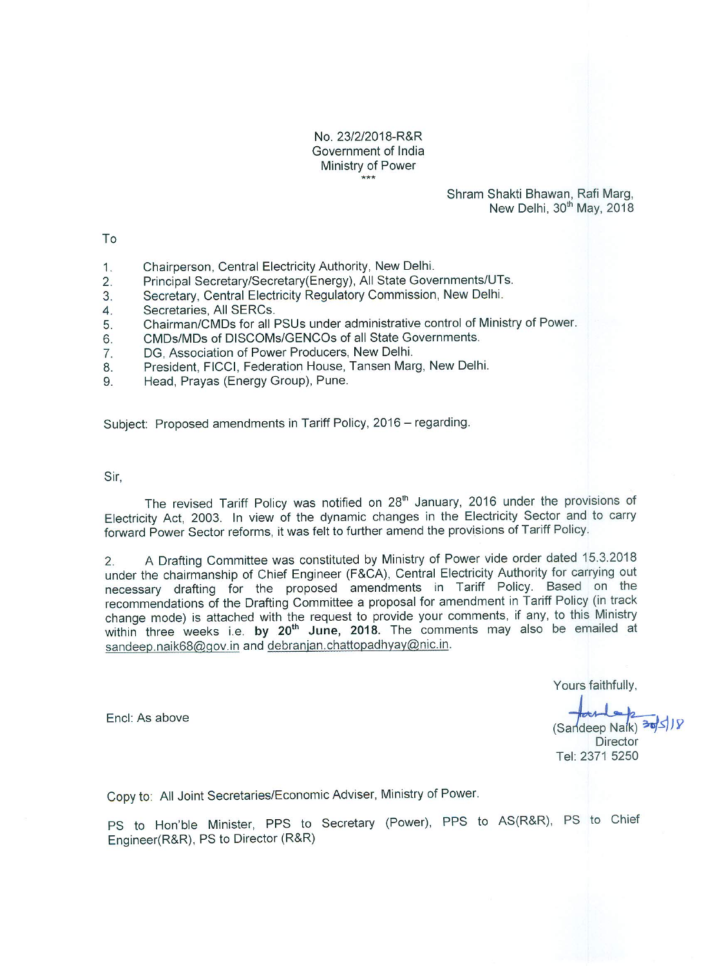#### No. 23/2/2018-R&R Government of India Ministry of Power  $***$

#### Shram Shakti Bhawan, Rafi Marg, New Delhi, 30<sup>th</sup> May, 2018

To

- Chairperson, Central Electricity Authority, New Delhi.  $1<sub>1</sub>$
- Principal Secretary/Secretary(Energy), All State Governments/UTs.  $\overline{2}$ .
- Secretary, Central Electricity Regulatory Commission, New Delhi.  $3.$
- Secretaries, All SERCs.  $\overline{4}$ .
- Chairman/CMDs for all PSUs under administrative control of Ministry of Power. 5.
- CMDs/MDs of DISCOMs/GENCOs of all State Governments. 6
- DG. Association of Power Producers, New Delhi.  $\overline{7}$ .
- President, FICCI, Federation House, Tansen Marg, New Delhi. 8.
- Head, Prayas (Energy Group), Pune. 9

Subiect: Proposed amendments in Tariff Policy, 2016 - regarding.

Sir.

The revised Tariff Policy was notified on 28<sup>th</sup> January, 2016 under the provisions of Electricity Act, 2003. In view of the dynamic changes in the Electricity Sector and to carry forward Power Sector reforms, it was felt to further amend the provisions of Tariff Policy.

A Drafting Committee was constituted by Ministry of Power vide order dated 15.3.2018  $2.$ under the chairmanship of Chief Engineer (F&CA), Central Electricity Authority for carrying out necessary drafting for the proposed amendments in Tariff Policy. Based on the recommendations of the Drafting Committee a proposal for amendment in Tariff Policy (in track change mode) is attached with the request to provide your comments, if any, to this Ministry within three weeks i.e. by 20<sup>th</sup> June, 2018. The comments may also be emailed at sandeep.naik68@gov.in and debranjan.chattopadhyay@nic.in.

Yours faithfully,

Encl: As above

(Sandeep Naik) 30 Director Tel: 2371 5250

Copy to: All Joint Secretaries/Economic Adviser, Ministry of Power.

PS to Hon'ble Minister, PPS to Secretary (Power), PPS to AS(R&R), PS to Chief Engineer(R&R), PS to Director (R&R)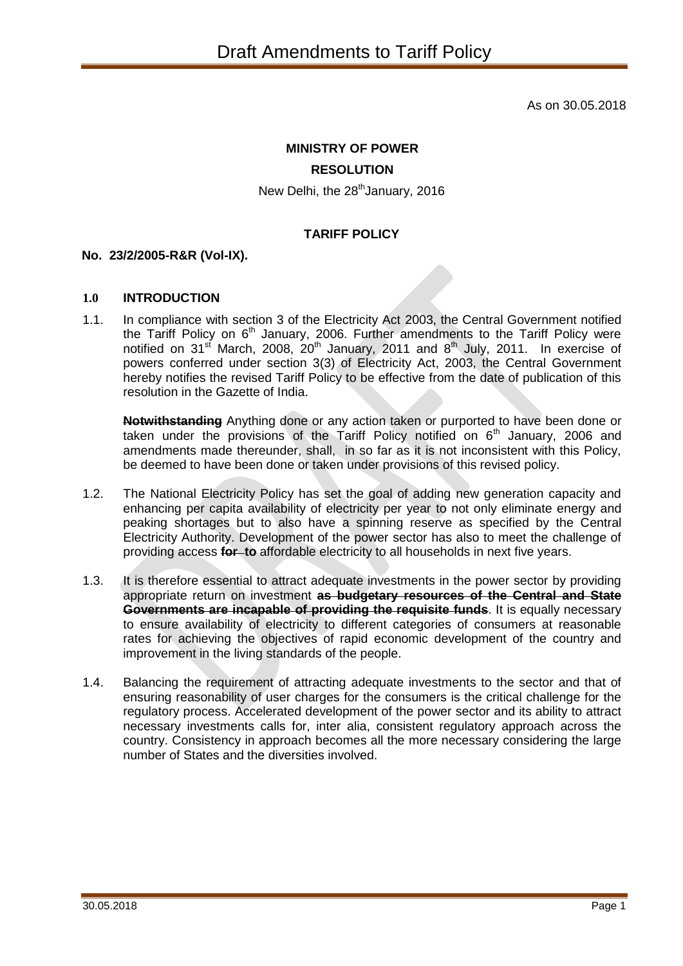As on 30.05.2018

# **MINISTRY OF POWER RESOLUTION**

New Delhi, the 28<sup>th</sup>January, 2016

## **TARIFF POLICY**

### **No. 23/2/2005-R&R (Vol-IX).**

#### **1.0 INTRODUCTION**

1.1. In compliance with section 3 of the Electricity Act 2003, the Central Government notified the Tariff Policy on  $6<sup>th</sup>$  January, 2006. Further amendments to the Tariff Policy were notified on 31<sup>st</sup> March, 2008, 20<sup>th</sup> January, 2011 and 8<sup>th</sup> July, 2011. In exercise of powers conferred under section 3(3) of Electricity Act, 2003, the Central Government hereby notifies the revised Tariff Policy to be effective from the date of publication of this resolution in the Gazette of India.

**Notwithstanding** Anything done or any action taken or purported to have been done or taken under the provisions of the Tariff Policy notified on  $6<sup>th</sup>$  January, 2006 and amendments made thereunder, shall, in so far as it is not inconsistent with this Policy, be deemed to have been done or taken under provisions of this revised policy.

- 1.2. The National Electricity Policy has set the goal of adding new generation capacity and enhancing per capita availability of electricity per year to not only eliminate energy and peaking shortages but to also have a spinning reserve as specified by the Central Electricity Authority. Development of the power sector has also to meet the challenge of providing access **for to** affordable electricity to all households in next five years.
- 1.3. It is therefore essential to attract adequate investments in the power sector by providing appropriate return on investment **as budgetary resources of the Central and State Governments are incapable of providing the requisite funds.** It is equally necessary to ensure availability of electricity to different categories of consumers at reasonable rates for achieving the objectives of rapid economic development of the country and improvement in the living standards of the people.
- 1.4. Balancing the requirement of attracting adequate investments to the sector and that of ensuring reasonability of user charges for the consumers is the critical challenge for the regulatory process. Accelerated development of the power sector and its ability to attract necessary investments calls for, inter alia, consistent regulatory approach across the country. Consistency in approach becomes all the more necessary considering the large number of States and the diversities involved.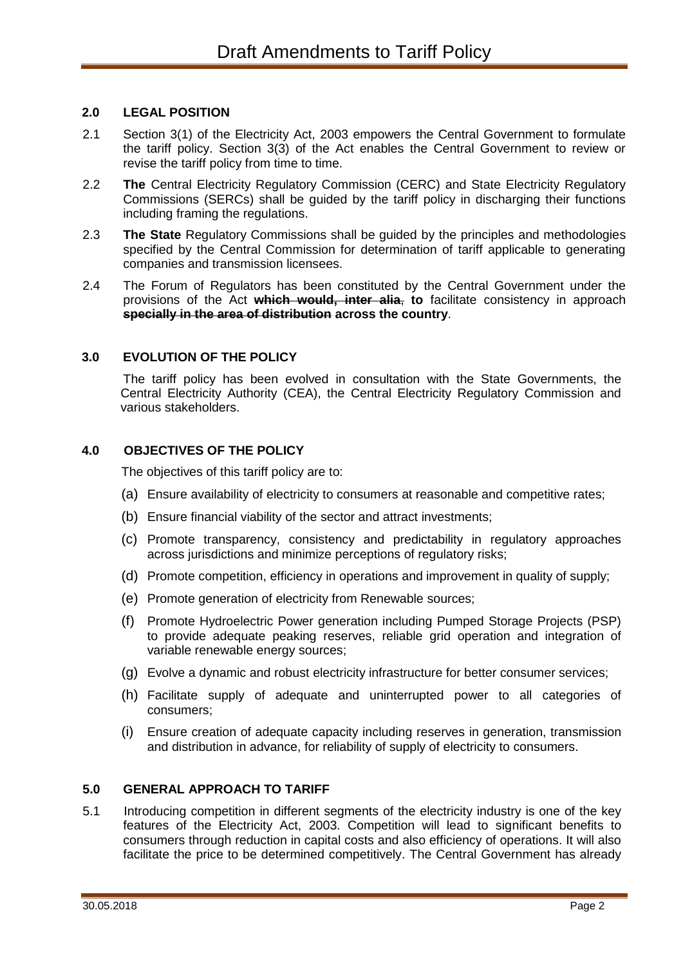### **2.0 LEGAL POSITION**

- 2.1 Section 3(1) of the Electricity Act, 2003 empowers the Central Government to formulate the tariff policy. Section 3(3) of the Act enables the Central Government to review or revise the tariff policy from time to time.
- 2.2 **The** Central Electricity Regulatory Commission (CERC) and State Electricity Regulatory Commissions (SERCs) shall be guided by the tariff policy in discharging their functions including framing the regulations.
- 2.3 **The State** Regulatory Commissions shall be guided by the principles and methodologies specified by the Central Commission for determination of tariff applicable to generating companies and transmission licensees.
- 2.4 The Forum of Regulators has been constituted by the Central Government under the provisions of the Act **which would, inter alia**, **to** facilitate consistency in approach **specially in the area of distribution across the country**.

#### **3.0 EVOLUTION OF THE POLICY**

The tariff policy has been evolved in consultation with the State Governments, the Central Electricity Authority (CEA), the Central Electricity Regulatory Commission and various stakeholders.

### **4.0 OBJECTIVES OF THE POLICY**

The objectives of this tariff policy are to:

- (a) Ensure availability of electricity to consumers at reasonable and competitive rates;
- (b) Ensure financial viability of the sector and attract investments;
- (c) Promote transparency, consistency and predictability in regulatory approaches across jurisdictions and minimize perceptions of regulatory risks;
- (d) Promote competition, efficiency in operations and improvement in quality of supply;
- (e) Promote generation of electricity from Renewable sources;
- (f) Promote Hydroelectric Power generation including Pumped Storage Projects (PSP) to provide adequate peaking reserves, reliable grid operation and integration of variable renewable energy sources;
- (g) Evolve a dynamic and robust electricity infrastructure for better consumer services;
- (h) Facilitate supply of adequate and uninterrupted power to all categories of consumers;
- (i) Ensure creation of adequate capacity including reserves in generation, transmission and distribution in advance, for reliability of supply of electricity to consumers.

#### **5.0 GENERAL APPROACH TO TARIFF**

5.1 Introducing competition in different segments of the electricity industry is one of the key features of the Electricity Act, 2003. Competition will lead to significant benefits to consumers through reduction in capital costs and also efficiency of operations. It will also facilitate the price to be determined competitively. The Central Government has already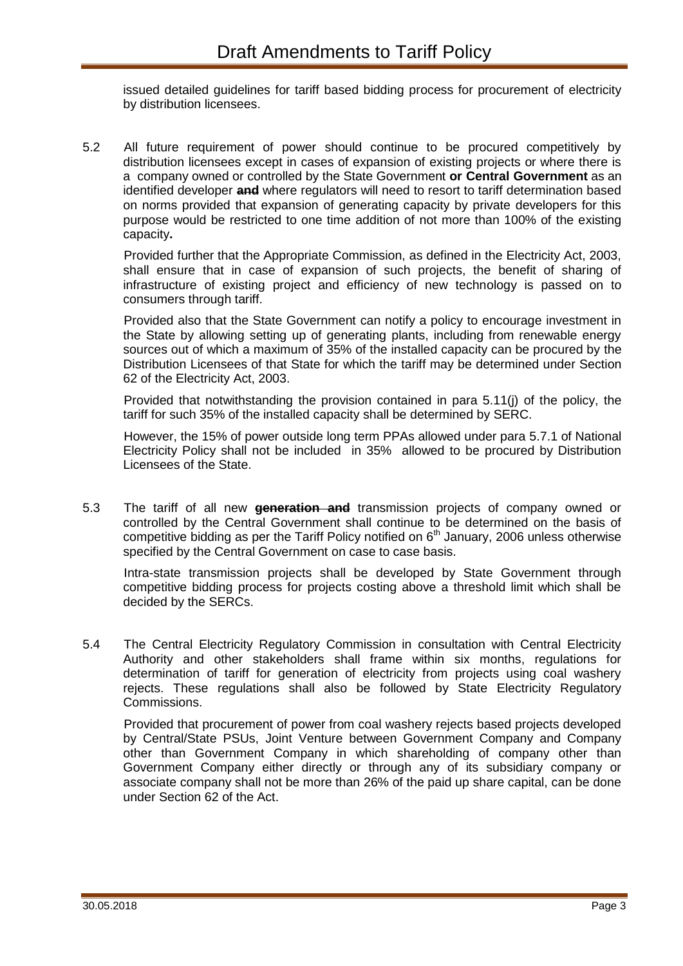issued detailed guidelines for tariff based bidding process for procurement of electricity by distribution licensees.

5.2 All future requirement of power should continue to be procured competitively by distribution licensees except in cases of expansion of existing projects or where there is a company owned or controlled by the State Government **or Central Government** as an identified developer **and** where regulators will need to resort to tariff determination based on norms provided that expansion of generating capacity by private developers for this purpose would be restricted to one time addition of not more than 100% of the existing capacity**.**

Provided further that the Appropriate Commission, as defined in the Electricity Act, 2003, shall ensure that in case of expansion of such projects, the benefit of sharing of infrastructure of existing project and efficiency of new technology is passed on to consumers through tariff.

Provided also that the State Government can notify a policy to encourage investment in the State by allowing setting up of generating plants, including from renewable energy sources out of which a maximum of 35% of the installed capacity can be procured by the Distribution Licensees of that State for which the tariff may be determined under Section 62 of the Electricity Act, 2003.

Provided that notwithstanding the provision contained in para 5.11(j) of the policy, the tariff for such 35% of the installed capacity shall be determined by SERC.

However, the 15% of power outside long term PPAs allowed under para 5.7.1 of National Electricity Policy shall not be included in 35% allowed to be procured by Distribution Licensees of the State.

5.3 The tariff of all new **generation and** transmission projects of company owned or controlled by the Central Government shall continue to be determined on the basis of competitive bidding as per the Tariff Policy notified on  $6<sup>th</sup>$  January, 2006 unless otherwise specified by the Central Government on case to case basis.

Intra-state transmission projects shall be developed by State Government through competitive bidding process for projects costing above a threshold limit which shall be decided by the SERCs.

5.4 The Central Electricity Regulatory Commission in consultation with Central Electricity Authority and other stakeholders shall frame within six months, regulations for determination of tariff for generation of electricity from projects using coal washery rejects. These regulations shall also be followed by State Electricity Regulatory Commissions.

Provided that procurement of power from coal washery rejects based projects developed by Central/State PSUs, Joint Venture between Government Company and Company other than Government Company in which shareholding of company other than Government Company either directly or through any of its subsidiary company or associate company shall not be more than 26% of the paid up share capital, can be done under Section 62 of the Act.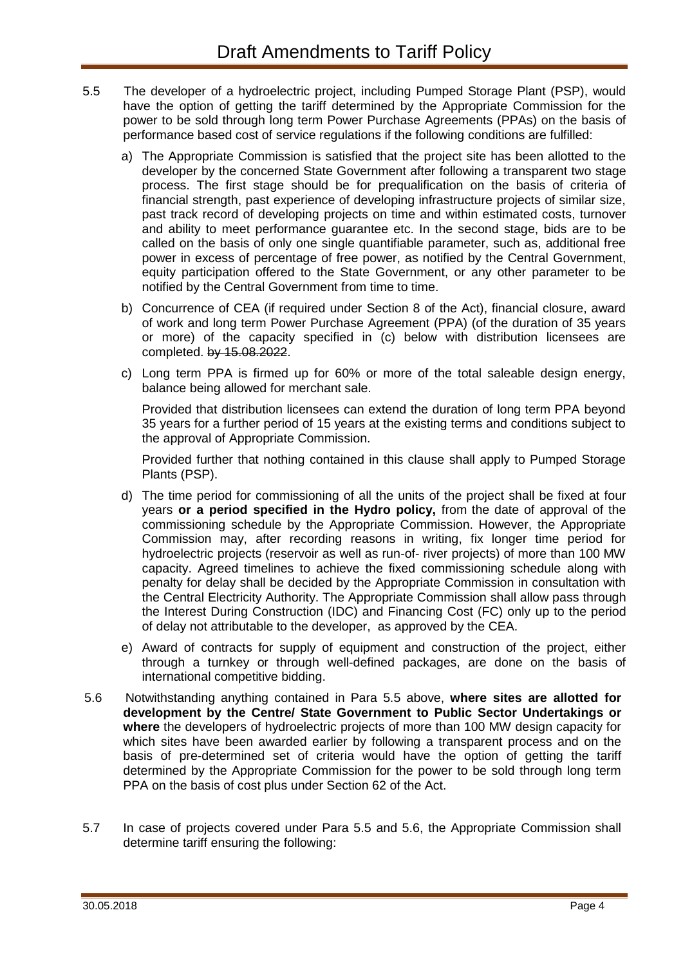- 5.5 The developer of a hydroelectric project, including Pumped Storage Plant (PSP), would have the option of getting the tariff determined by the Appropriate Commission for the power to be sold through long term Power Purchase Agreements (PPAs) on the basis of performance based cost of service regulations if the following conditions are fulfilled:
	- a) The Appropriate Commission is satisfied that the project site has been allotted to the developer by the concerned State Government after following a transparent two stage process. The first stage should be for prequalification on the basis of criteria of financial strength, past experience of developing infrastructure projects of similar size, past track record of developing projects on time and within estimated costs, turnover and ability to meet performance guarantee etc. In the second stage, bids are to be called on the basis of only one single quantifiable parameter, such as, additional free power in excess of percentage of free power, as notified by the Central Government, equity participation offered to the State Government, or any other parameter to be notified by the Central Government from time to time.
	- b) Concurrence of CEA (if required under Section 8 of the Act), financial closure, award of work and long term Power Purchase Agreement (PPA) (of the duration of 35 years or more) of the capacity specified in (c) below with distribution licensees are completed. by 15.08.2022.
	- c) Long term PPA is firmed up for 60% or more of the total saleable design energy, balance being allowed for merchant sale.

Provided that distribution licensees can extend the duration of long term PPA beyond 35 years for a further period of 15 years at the existing terms and conditions subject to the approval of Appropriate Commission.

Provided further that nothing contained in this clause shall apply to Pumped Storage Plants (PSP).

- d) The time period for commissioning of all the units of the project shall be fixed at four years **or a period specified in the Hydro policy,** from the date of approval of the commissioning schedule by the Appropriate Commission. However, the Appropriate Commission may, after recording reasons in writing, fix longer time period for hydroelectric projects (reservoir as well as run-of- river projects) of more than 100 MW capacity. Agreed timelines to achieve the fixed commissioning schedule along with penalty for delay shall be decided by the Appropriate Commission in consultation with the Central Electricity Authority. The Appropriate Commission shall allow pass through the Interest During Construction (IDC) and Financing Cost (FC) only up to the period of delay not attributable to the developer, as approved by the CEA.
- e) Award of contracts for supply of equipment and construction of the project, either through a turnkey or through well-defined packages, are done on the basis of international competitive bidding.
- 5.6 Notwithstanding anything contained in Para 5.5 above, **where sites are allotted for development by the Centre/ State Government to Public Sector Undertakings or where** the developers of hydroelectric projects of more than 100 MW design capacity for which sites have been awarded earlier by following a transparent process and on the basis of pre-determined set of criteria would have the option of getting the tariff determined by the Appropriate Commission for the power to be sold through long term PPA on the basis of cost plus under Section 62 of the Act.
- 5.7 In case of projects covered under Para 5.5 and 5.6, the Appropriate Commission shall determine tariff ensuring the following: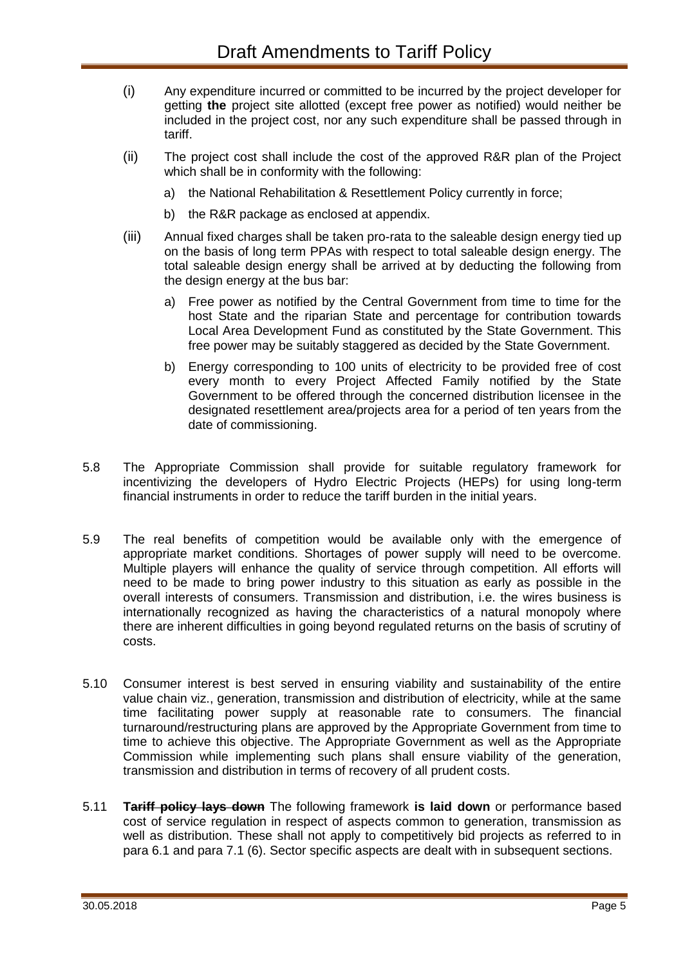- (i) Any expenditure incurred or committed to be incurred by the project developer for getting **the** project site allotted (except free power as notified) would neither be included in the project cost, nor any such expenditure shall be passed through in tariff.
- (ii) The project cost shall include the cost of the approved R&R plan of the Project which shall be in conformity with the following:
	- a) the National Rehabilitation & Resettlement Policy currently in force;
	- b) the R&R package as enclosed at appendix.
- (iii) Annual fixed charges shall be taken pro-rata to the saleable design energy tied up on the basis of long term PPAs with respect to total saleable design energy. The total saleable design energy shall be arrived at by deducting the following from the design energy at the bus bar:
	- a) Free power as notified by the Central Government from time to time for the host State and the riparian State and percentage for contribution towards Local Area Development Fund as constituted by the State Government. This free power may be suitably staggered as decided by the State Government.
	- b) Energy corresponding to 100 units of electricity to be provided free of cost every month to every Project Affected Family notified by the State Government to be offered through the concerned distribution licensee in the designated resettlement area/projects area for a period of ten years from the date of commissioning.
- 5.8 The Appropriate Commission shall provide for suitable regulatory framework for incentivizing the developers of Hydro Electric Projects (HEPs) for using long-term financial instruments in order to reduce the tariff burden in the initial years.
- 5.9 The real benefits of competition would be available only with the emergence of appropriate market conditions. Shortages of power supply will need to be overcome. Multiple players will enhance the quality of service through competition. All efforts will need to be made to bring power industry to this situation as early as possible in the overall interests of consumers. Transmission and distribution, i.e. the wires business is internationally recognized as having the characteristics of a natural monopoly where there are inherent difficulties in going beyond regulated returns on the basis of scrutiny of costs.
- 5.10 Consumer interest is best served in ensuring viability and sustainability of the entire value chain viz., generation, transmission and distribution of electricity, while at the same time facilitating power supply at reasonable rate to consumers. The financial turnaround/restructuring plans are approved by the Appropriate Government from time to time to achieve this objective. The Appropriate Government as well as the Appropriate Commission while implementing such plans shall ensure viability of the generation, transmission and distribution in terms of recovery of all prudent costs.
- 5.11 **Tariff policy lays down** The following framework **is laid down** or performance based cost of service regulation in respect of aspects common to generation, transmission as well as distribution. These shall not apply to competitively bid projects as referred to in para 6.1 and para 7.1 (6). Sector specific aspects are dealt with in subsequent sections.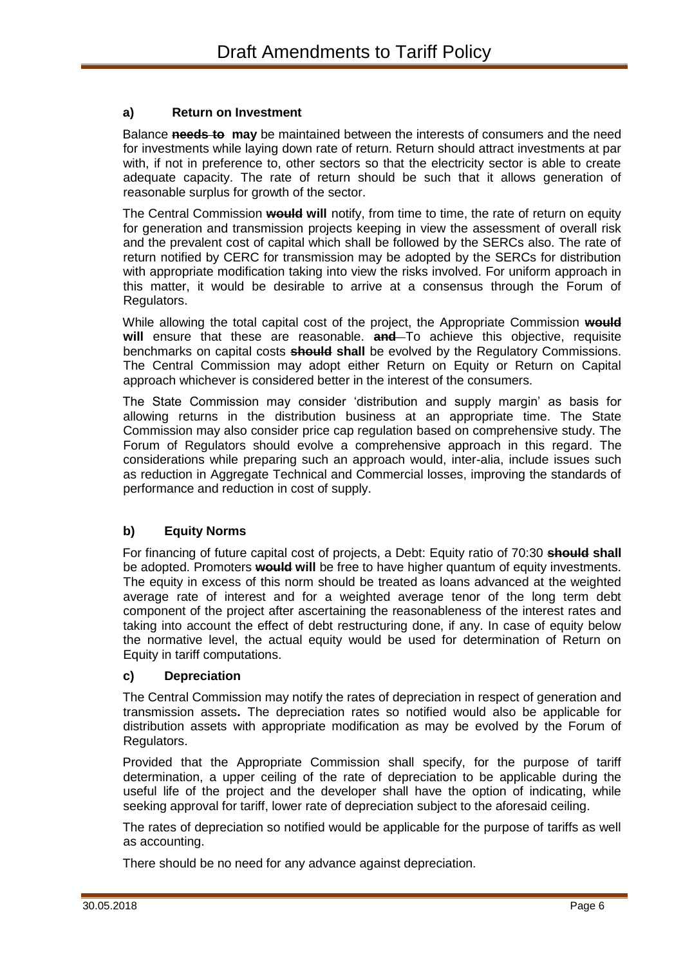### **a) Return on Investment**

Balance **needs to may** be maintained between the interests of consumers and the need for investments while laying down rate of return. Return should attract investments at par with, if not in preference to, other sectors so that the electricity sector is able to create adequate capacity. The rate of return should be such that it allows generation of reasonable surplus for growth of the sector.

The Central Commission **would will** notify, from time to time, the rate of return on equity for generation and transmission projects keeping in view the assessment of overall risk and the prevalent cost of capital which shall be followed by the SERCs also. The rate of return notified by CERC for transmission may be adopted by the SERCs for distribution with appropriate modification taking into view the risks involved. For uniform approach in this matter, it would be desirable to arrive at a consensus through the Forum of Regulators.

While allowing the total capital cost of the project, the Appropriate Commission **would will** ensure that these are reasonable. **and** To achieve this objective, requisite benchmarks on capital costs **should shall** be evolved by the Regulatory Commissions. The Central Commission may adopt either Return on Equity or Return on Capital approach whichever is considered better in the interest of the consumers.

The State Commission may consider 'distribution and supply margin' as basis for allowing returns in the distribution business at an appropriate time. The State Commission may also consider price cap regulation based on comprehensive study. The Forum of Regulators should evolve a comprehensive approach in this regard. The considerations while preparing such an approach would, inter-alia, include issues such as reduction in Aggregate Technical and Commercial losses, improving the standards of performance and reduction in cost of supply.

### **b) Equity Norms**

For financing of future capital cost of projects, a Debt: Equity ratio of 70:30 **should shall** be adopted. Promoters **would will** be free to have higher quantum of equity investments. The equity in excess of this norm should be treated as loans advanced at the weighted average rate of interest and for a weighted average tenor of the long term debt component of the project after ascertaining the reasonableness of the interest rates and taking into account the effect of debt restructuring done, if any. In case of equity below the normative level, the actual equity would be used for determination of Return on Equity in tariff computations.

#### **c) Depreciation**

The Central Commission may notify the rates of depreciation in respect of generation and transmission assets**.** The depreciation rates so notified would also be applicable for distribution assets with appropriate modification as may be evolved by the Forum of Regulators.

Provided that the Appropriate Commission shall specify, for the purpose of tariff determination, a upper ceiling of the rate of depreciation to be applicable during the useful life of the project and the developer shall have the option of indicating, while seeking approval for tariff, lower rate of depreciation subject to the aforesaid ceiling.

The rates of depreciation so notified would be applicable for the purpose of tariffs as well as accounting.

There should be no need for any advance against depreciation.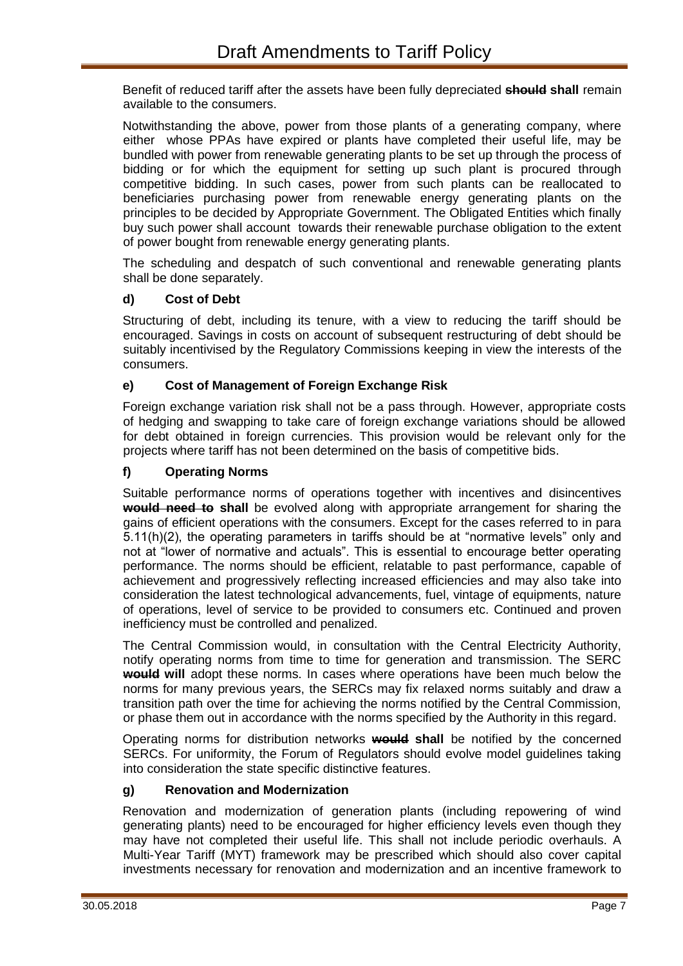Benefit of reduced tariff after the assets have been fully depreciated **should shall** remain available to the consumers.

Notwithstanding the above, power from those plants of a generating company, where either whose PPAs have expired or plants have completed their useful life, may be bundled with power from renewable generating plants to be set up through the process of bidding or for which the equipment for setting up such plant is procured through competitive bidding. In such cases, power from such plants can be reallocated to beneficiaries purchasing power from renewable energy generating plants on the principles to be decided by Appropriate Government. The Obligated Entities which finally buy such power shall account towards their renewable purchase obligation to the extent of power bought from renewable energy generating plants.

The scheduling and despatch of such conventional and renewable generating plants shall be done separately.

### **d) Cost of Debt**

Structuring of debt, including its tenure, with a view to reducing the tariff should be encouraged. Savings in costs on account of subsequent restructuring of debt should be suitably incentivised by the Regulatory Commissions keeping in view the interests of the consumers.

### **e) Cost of Management of Foreign Exchange Risk**

Foreign exchange variation risk shall not be a pass through. However, appropriate costs of hedging and swapping to take care of foreign exchange variations should be allowed for debt obtained in foreign currencies. This provision would be relevant only for the projects where tariff has not been determined on the basis of competitive bids.

### **f) Operating Norms**

Suitable performance norms of operations together with incentives and disincentives **would need to shall** be evolved along with appropriate arrangement for sharing the gains of efficient operations with the consumers. Except for the cases referred to in para 5.11(h)(2), the operating parameters in tariffs should be at "normative levels" only and not at "lower of normative and actuals". This is essential to encourage better operating performance. The norms should be efficient, relatable to past performance, capable of achievement and progressively reflecting increased efficiencies and may also take into consideration the latest technological advancements, fuel, vintage of equipments, nature of operations, level of service to be provided to consumers etc. Continued and proven inefficiency must be controlled and penalized.

The Central Commission would, in consultation with the Central Electricity Authority, notify operating norms from time to time for generation and transmission. The SERC **would will** adopt these norms. In cases where operations have been much below the norms for many previous years, the SERCs may fix relaxed norms suitably and draw a transition path over the time for achieving the norms notified by the Central Commission, or phase them out in accordance with the norms specified by the Authority in this regard.

Operating norms for distribution networks **would shall** be notified by the concerned SERCs. For uniformity, the Forum of Regulators should evolve model guidelines taking into consideration the state specific distinctive features.

#### **g) Renovation and Modernization**

Renovation and modernization of generation plants (including repowering of wind generating plants) need to be encouraged for higher efficiency levels even though they may have not completed their useful life. This shall not include periodic overhauls. A Multi-Year Tariff (MYT) framework may be prescribed which should also cover capital investments necessary for renovation and modernization and an incentive framework to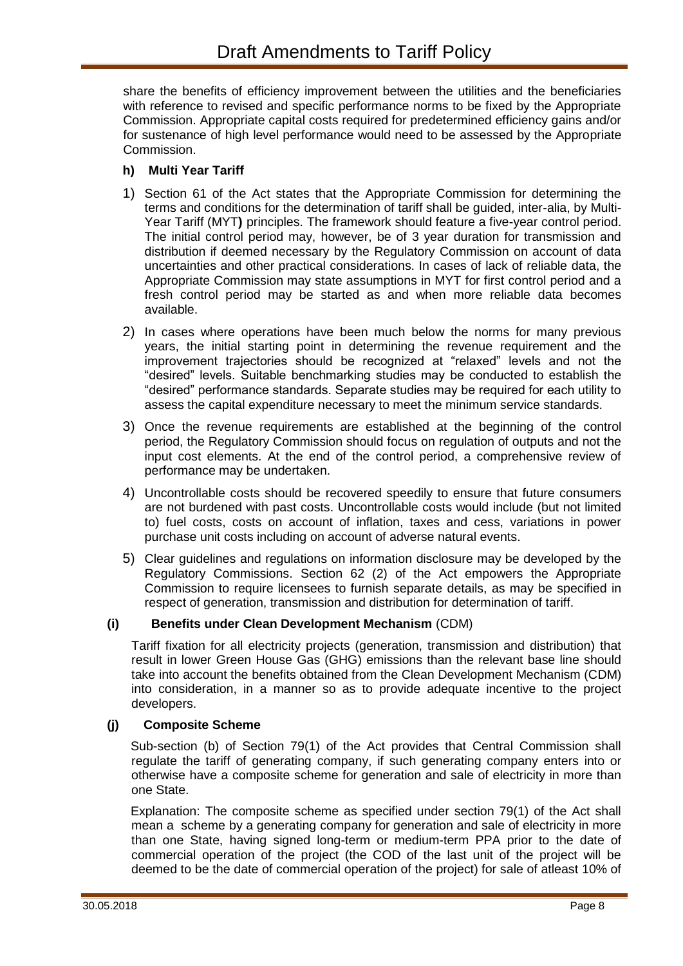share the benefits of efficiency improvement between the utilities and the beneficiaries with reference to revised and specific performance norms to be fixed by the Appropriate Commission. Appropriate capital costs required for predetermined efficiency gains and/or for sustenance of high level performance would need to be assessed by the Appropriate Commission.

### **h) Multi Year Tariff**

- 1) Section 61 of the Act states that the Appropriate Commission for determining the terms and conditions for the determination of tariff shall be guided, inter-alia, by Multi-Year Tariff (MYT**)** principles. The framework should feature a five-year control period. The initial control period may, however, be of 3 year duration for transmission and distribution if deemed necessary by the Regulatory Commission on account of data uncertainties and other practical considerations. In cases of lack of reliable data, the Appropriate Commission may state assumptions in MYT for first control period and a fresh control period may be started as and when more reliable data becomes available.
- 2) In cases where operations have been much below the norms for many previous years, the initial starting point in determining the revenue requirement and the improvement trajectories should be recognized at "relaxed" levels and not the "desired" levels. Suitable benchmarking studies may be conducted to establish the "desired" performance standards. Separate studies may be required for each utility to assess the capital expenditure necessary to meet the minimum service standards.
- 3) Once the revenue requirements are established at the beginning of the control period, the Regulatory Commission should focus on regulation of outputs and not the input cost elements. At the end of the control period, a comprehensive review of performance may be undertaken.
- 4) Uncontrollable costs should be recovered speedily to ensure that future consumers are not burdened with past costs. Uncontrollable costs would include (but not limited to) fuel costs, costs on account of inflation, taxes and cess, variations in power purchase unit costs including on account of adverse natural events.
- 5) Clear guidelines and regulations on information disclosure may be developed by the Regulatory Commissions. Section 62 (2) of the Act empowers the Appropriate Commission to require licensees to furnish separate details, as may be specified in respect of generation, transmission and distribution for determination of tariff.

### **(i) Benefits under Clean Development Mechanism** (CDM)

Tariff fixation for all electricity projects (generation, transmission and distribution) that result in lower Green House Gas (GHG) emissions than the relevant base line should take into account the benefits obtained from the Clean Development Mechanism (CDM) into consideration, in a manner so as to provide adequate incentive to the project developers.

### **(j) Composite Scheme**

Sub-section (b) of Section 79(1) of the Act provides that Central Commission shall regulate the tariff of generating company, if such generating company enters into or otherwise have a composite scheme for generation and sale of electricity in more than one State.

Explanation: The composite scheme as specified under section 79(1) of the Act shall mean a scheme by a generating company for generation and sale of electricity in more than one State, having signed long-term or medium-term PPA prior to the date of commercial operation of the project (the COD of the last unit of the project will be deemed to be the date of commercial operation of the project) for sale of atleast 10% of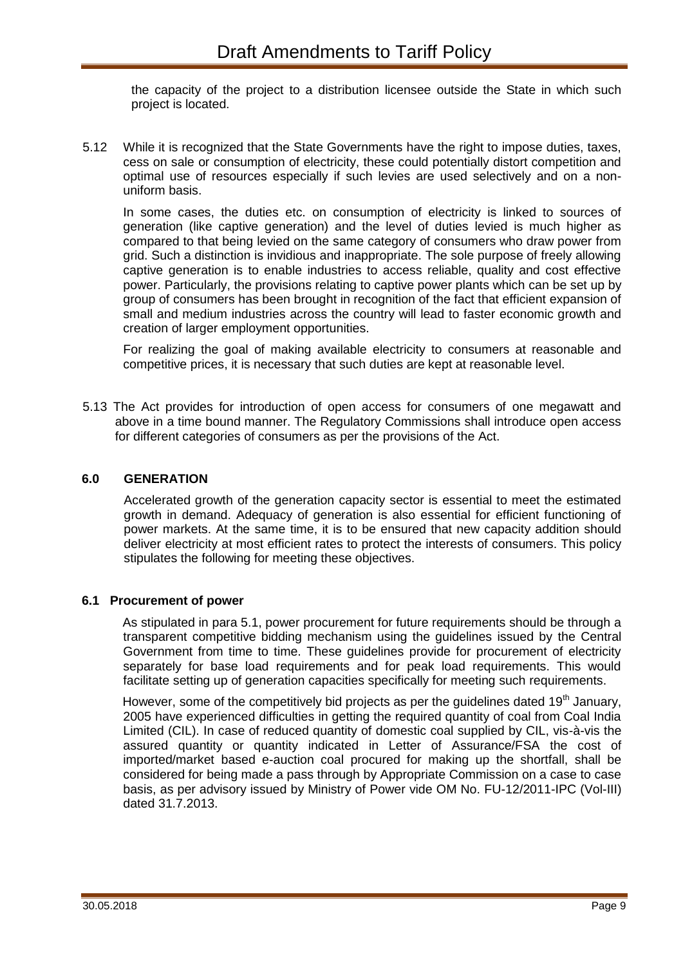the capacity of the project to a distribution licensee outside the State in which such project is located.

5.12 While it is recognized that the State Governments have the right to impose duties, taxes, cess on sale or consumption of electricity, these could potentially distort competition and optimal use of resources especially if such levies are used selectively and on a nonuniform basis.

In some cases, the duties etc. on consumption of electricity is linked to sources of generation (like captive generation) and the level of duties levied is much higher as compared to that being levied on the same category of consumers who draw power from grid. Such a distinction is invidious and inappropriate. The sole purpose of freely allowing captive generation is to enable industries to access reliable, quality and cost effective power. Particularly, the provisions relating to captive power plants which can be set up by group of consumers has been brought in recognition of the fact that efficient expansion of small and medium industries across the country will lead to faster economic growth and creation of larger employment opportunities.

For realizing the goal of making available electricity to consumers at reasonable and competitive prices, it is necessary that such duties are kept at reasonable level.

5.13 The Act provides for introduction of open access for consumers of one megawatt and above in a time bound manner. The Regulatory Commissions shall introduce open access for different categories of consumers as per the provisions of the Act.

### **6.0 GENERATION**

Accelerated growth of the generation capacity sector is essential to meet the estimated growth in demand. Adequacy of generation is also essential for efficient functioning of power markets. At the same time, it is to be ensured that new capacity addition should deliver electricity at most efficient rates to protect the interests of consumers. This policy stipulates the following for meeting these objectives.

#### **6.1 Procurement of power**

As stipulated in para 5.1, power procurement for future requirements should be through a transparent competitive bidding mechanism using the guidelines issued by the Central Government from time to time. These guidelines provide for procurement of electricity separately for base load requirements and for peak load requirements. This would facilitate setting up of generation capacities specifically for meeting such requirements.

However, some of the competitively bid projects as per the guidelines dated 19<sup>th</sup> January, 2005 have experienced difficulties in getting the required quantity of coal from Coal India Limited (CIL). In case of reduced quantity of domestic coal supplied by CIL, vis-à-vis the assured quantity or quantity indicated in Letter of Assurance/FSA the cost of imported/market based e-auction coal procured for making up the shortfall, shall be considered for being made a pass through by Appropriate Commission on a case to case basis, as per advisory issued by Ministry of Power vide OM No. FU-12/2011-IPC (Vol-III) dated 31.7.2013.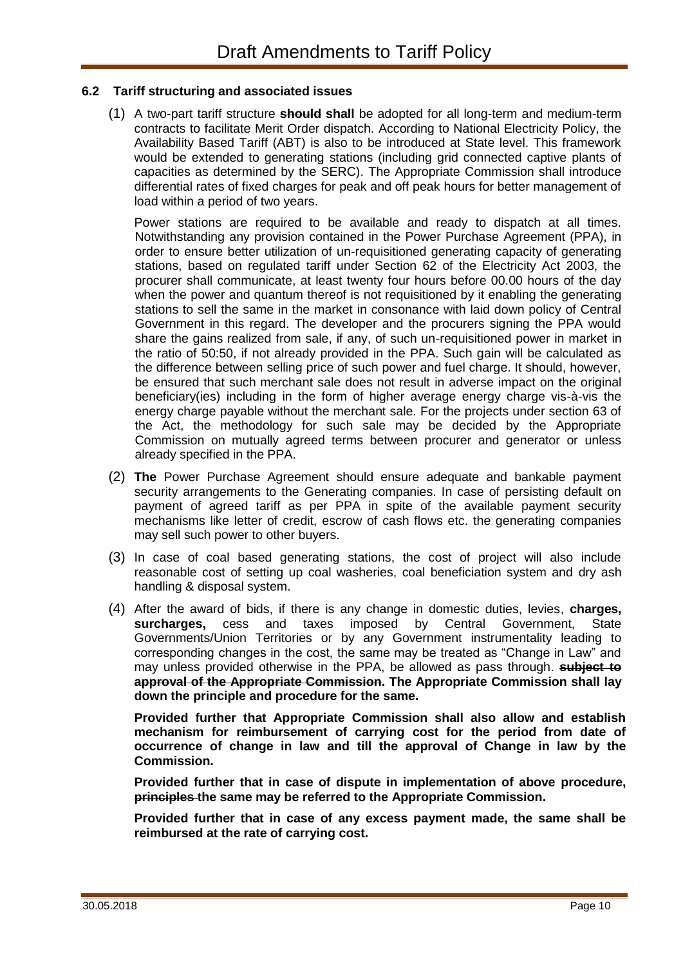### **6.2 Tariff structuring and associated issues**

(1) A two-part tariff structure **should shall** be adopted for all long-term and medium-term contracts to facilitate Merit Order dispatch. According to National Electricity Policy, the Availability Based Tariff (ABT) is also to be introduced at State level. This framework would be extended to generating stations (including grid connected captive plants of capacities as determined by the SERC). The Appropriate Commission shall introduce differential rates of fixed charges for peak and off peak hours for better management of load within a period of two years.

Power stations are required to be available and ready to dispatch at all times. Notwithstanding any provision contained in the Power Purchase Agreement (PPA), in order to ensure better utilization of un-requisitioned generating capacity of generating stations, based on regulated tariff under Section 62 of the Electricity Act 2003, the procurer shall communicate, at least twenty four hours before 00.00 hours of the day when the power and quantum thereof is not requisitioned by it enabling the generating stations to sell the same in the market in consonance with laid down policy of Central Government in this regard. The developer and the procurers signing the PPA would share the gains realized from sale, if any, of such un-requisitioned power in market in the ratio of 50:50, if not already provided in the PPA. Such gain will be calculated as the difference between selling price of such power and fuel charge. It should, however, be ensured that such merchant sale does not result in adverse impact on the original beneficiary(ies) including in the form of higher average energy charge vis-à-vis the energy charge payable without the merchant sale. For the projects under section 63 of the Act, the methodology for such sale may be decided by the Appropriate Commission on mutually agreed terms between procurer and generator or unless already specified in the PPA.

- (2) **The** Power Purchase Agreement should ensure adequate and bankable payment security arrangements to the Generating companies. In case of persisting default on payment of agreed tariff as per PPA in spite of the available payment security mechanisms like letter of credit, escrow of cash flows etc. the generating companies may sell such power to other buyers.
- (3) In case of coal based generating stations, the cost of project will also include reasonable cost of setting up coal washeries, coal beneficiation system and dry ash handling & disposal system.
- (4) After the award of bids, if there is any change in domestic duties, levies, **charges, surcharges,** cess and taxes imposed by Central Government, State Governments/Union Territories or by any Government instrumentality leading to corresponding changes in the cost, the same may be treated as "Change in Law" and may unless provided otherwise in the PPA, be allowed as pass through. **subject to approval of the Appropriate Commission. The Appropriate Commission shall lay down the principle and procedure for the same.**

**Provided further that Appropriate Commission shall also allow and establish mechanism for reimbursement of carrying cost for the period from date of occurrence of change in law and till the approval of Change in law by the Commission.**

**Provided further that in case of dispute in implementation of above procedure, principles the same may be referred to the Appropriate Commission.**

**Provided further that in case of any excess payment made, the same shall be reimbursed at the rate of carrying cost.**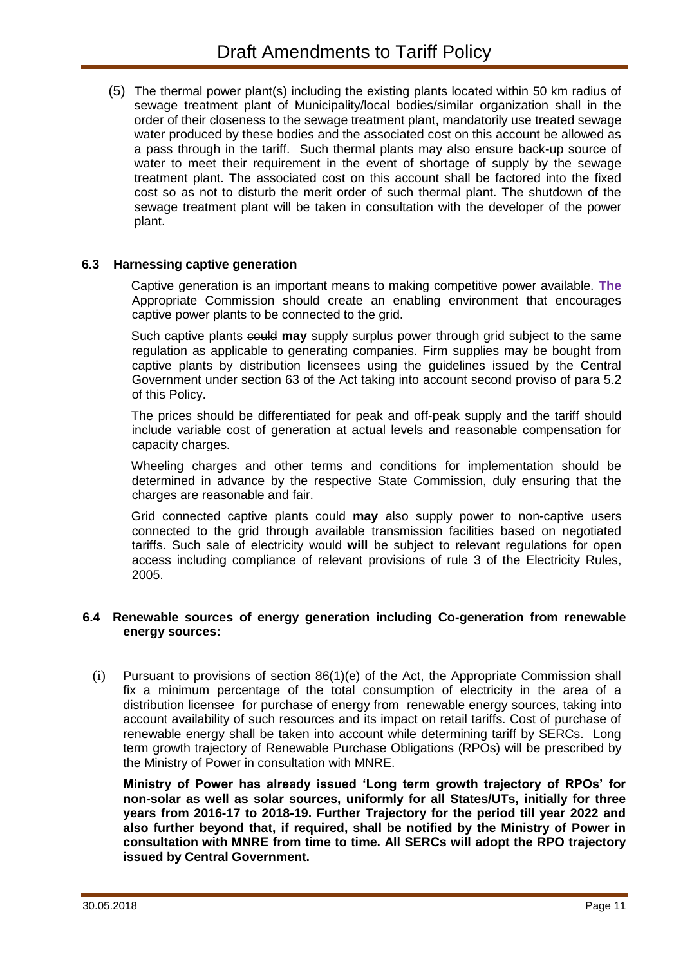(5) The thermal power plant(s) including the existing plants located within 50 km radius of sewage treatment plant of Municipality/local bodies/similar organization shall in the order of their closeness to the sewage treatment plant, mandatorily use treated sewage water produced by these bodies and the associated cost on this account be allowed as a pass through in the tariff. Such thermal plants may also ensure back-up source of water to meet their requirement in the event of shortage of supply by the sewage treatment plant. The associated cost on this account shall be factored into the fixed cost so as not to disturb the merit order of such thermal plant. The shutdown of the sewage treatment plant will be taken in consultation with the developer of the power plant.

### **6.3 Harnessing captive generation**

Captive generation is an important means to making competitive power available. **The** Appropriate Commission should create an enabling environment that encourages captive power plants to be connected to the grid.

Such captive plants could **may** supply surplus power through grid subject to the same regulation as applicable to generating companies. Firm supplies may be bought from captive plants by distribution licensees using the guidelines issued by the Central Government under section 63 of the Act taking into account second proviso of para 5.2 of this Policy.

The prices should be differentiated for peak and off-peak supply and the tariff should include variable cost of generation at actual levels and reasonable compensation for capacity charges.

Wheeling charges and other terms and conditions for implementation should be determined in advance by the respective State Commission, duly ensuring that the charges are reasonable and fair.

Grid connected captive plants could **may** also supply power to non-captive users connected to the grid through available transmission facilities based on negotiated tariffs. Such sale of electricity would **will** be subject to relevant regulations for open access including compliance of relevant provisions of rule 3 of the Electricity Rules, 2005.

#### **6.4 Renewable sources of energy generation including Co-generation from renewable energy sources:**

(i) Pursuant to provisions of section 86(1)(e) of the Act, the Appropriate Commission shall fix a minimum percentage of the total consumption of electricity in the area of a distribution licensee for purchase of energy from renewable energy sources, taking into account availability of such resources and its impact on retail tariffs. Cost of purchase of renewable energy shall be taken into account while determining tariff by SERCs. Long term growth trajectory of Renewable Purchase Obligations (RPOs) will be prescribed by the Ministry of Power in consultation with MNRE.

**Ministry of Power has already issued 'Long term growth trajectory of RPOs' for non-solar as well as solar sources, uniformly for all States/UTs, initially for three years from 2016-17 to 2018-19. Further Trajectory for the period till year 2022 and also further beyond that, if required, shall be notified by the Ministry of Power in consultation with MNRE from time to time. All SERCs will adopt the RPO trajectory issued by Central Government.**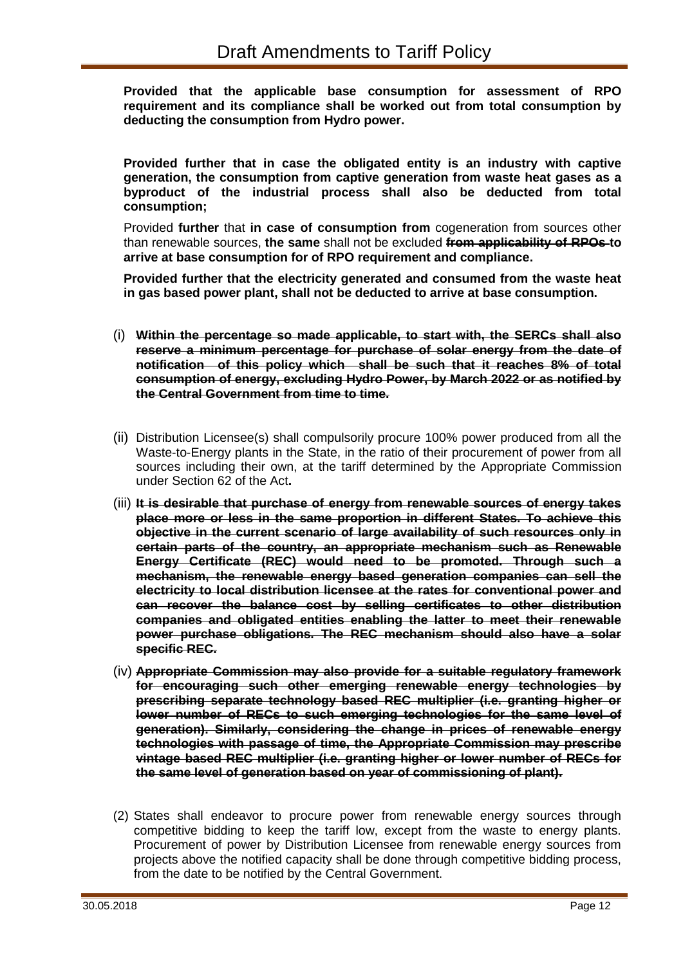**Provided that the applicable base consumption for assessment of RPO requirement and its compliance shall be worked out from total consumption by deducting the consumption from Hydro power.**

**Provided further that in case the obligated entity is an industry with captive generation, the consumption from captive generation from waste heat gases as a byproduct of the industrial process shall also be deducted from total consumption;**

Provided **further** that **in case of consumption from** cogeneration from sources other than renewable sources, **the same** shall not be excluded **from applicability of RPOs to arrive at base consumption for of RPO requirement and compliance.**

**Provided further that the electricity generated and consumed from the waste heat in gas based power plant, shall not be deducted to arrive at base consumption.** 

- (i) **Within the percentage so made applicable, to start with, the SERCs shall also reserve a minimum percentage for purchase of solar energy from the date of notification of this policy which shall be such that it reaches 8% of total consumption of energy, excluding Hydro Power, by March 2022 or as notified by the Central Government from time to time.**
- (ii) Distribution Licensee(s) shall compulsorily procure 100% power produced from all the Waste-to-Energy plants in the State, in the ratio of their procurement of power from all sources including their own, at the tariff determined by the Appropriate Commission under Section 62 of the Act**.**
- (iii) **It is desirable that purchase of energy from renewable sources of energy takes place more or less in the same proportion in different States. To achieve this objective in the current scenario of large availability of such resources only in certain parts of the country, an appropriate mechanism such as Renewable Energy Certificate (REC) would need to be promoted. Through such a mechanism, the renewable energy based generation companies can sell the electricity to local distribution licensee at the rates for conventional power and can recover the balance cost by selling certificates to other distribution companies and obligated entities enabling the latter to meet their renewable power purchase obligations. The REC mechanism should also have a solar specific REC.**
- (iv) **Appropriate Commission may also provide for a suitable regulatory framework for encouraging such other emerging renewable energy technologies by prescribing separate technology based REC multiplier (i.e. granting higher or lower number of RECs to such emerging technologies for the same level of generation). Similarly, considering the change in prices of renewable energy technologies with passage of time, the Appropriate Commission may prescribe vintage based REC multiplier (i.e. granting higher or lower number of RECs for the same level of generation based on year of commissioning of plant).**
- (2) States shall endeavor to procure power from renewable energy sources through competitive bidding to keep the tariff low, except from the waste to energy plants. Procurement of power by Distribution Licensee from renewable energy sources from projects above the notified capacity shall be done through competitive bidding process, from the date to be notified by the Central Government.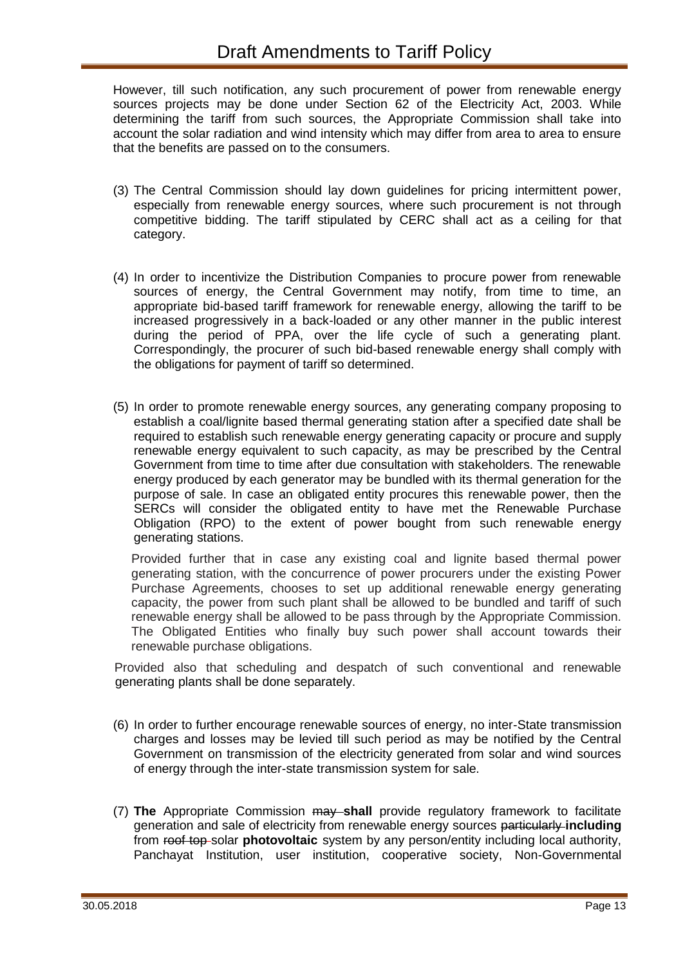However, till such notification, any such procurement of power from renewable energy sources projects may be done under Section 62 of the Electricity Act, 2003. While determining the tariff from such sources, the Appropriate Commission shall take into account the solar radiation and wind intensity which may differ from area to area to ensure that the benefits are passed on to the consumers.

- (3) The Central Commission should lay down guidelines for pricing intermittent power, especially from renewable energy sources, where such procurement is not through competitive bidding. The tariff stipulated by CERC shall act as a ceiling for that category.
- (4) In order to incentivize the Distribution Companies to procure power from renewable sources of energy, the Central Government may notify, from time to time, an appropriate bid-based tariff framework for renewable energy, allowing the tariff to be increased progressively in a back-loaded or any other manner in the public interest during the period of PPA, over the life cycle of such a generating plant. Correspondingly, the procurer of such bid-based renewable energy shall comply with the obligations for payment of tariff so determined.
- (5) In order to promote renewable energy sources, any generating company proposing to establish a coal/lignite based thermal generating station after a specified date shall be required to establish such renewable energy generating capacity or procure and supply renewable energy equivalent to such capacity, as may be prescribed by the Central Government from time to time after due consultation with stakeholders. The renewable energy produced by each generator may be bundled with its thermal generation for the purpose of sale. In case an obligated entity procures this renewable power, then the SERCs will consider the obligated entity to have met the Renewable Purchase Obligation (RPO) to the extent of power bought from such renewable energy generating stations.

Provided further that in case any existing coal and lignite based thermal power generating station, with the concurrence of power procurers under the existing Power Purchase Agreements, chooses to set up additional renewable energy generating capacity, the power from such plant shall be allowed to be bundled and tariff of such renewable energy shall be allowed to be pass through by the Appropriate Commission. The Obligated Entities who finally buy such power shall account towards their renewable purchase obligations.

Provided also that scheduling and despatch of such conventional and renewable generating plants shall be done separately.

- (6) In order to further encourage renewable sources of energy, no inter-State transmission charges and losses may be levied till such period as may be notified by the Central Government on transmission of the electricity generated from solar and wind sources of energy through the inter-state transmission system for sale.
- (7) **The** Appropriate Commission may **shall** provide regulatory framework to facilitate generation and sale of electricity from renewable energy sources particularly **including** from roof top solar **photovoltaic** system by any person/entity including local authority, Panchayat Institution, user institution, cooperative society, Non-Governmental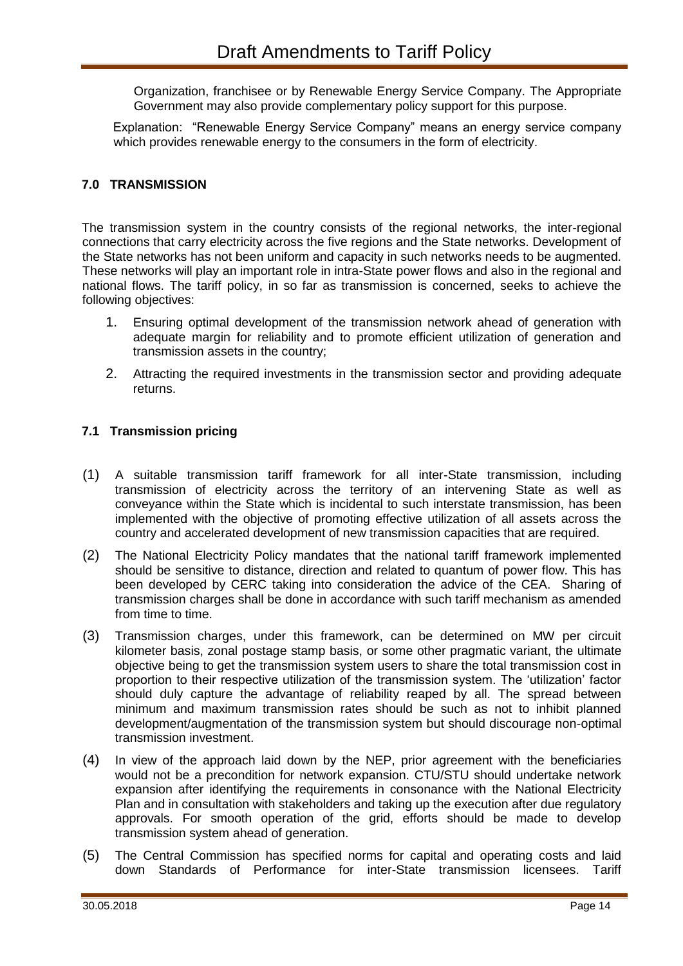Organization, franchisee or by Renewable Energy Service Company. The Appropriate Government may also provide complementary policy support for this purpose.

Explanation: "Renewable Energy Service Company" means an energy service company which provides renewable energy to the consumers in the form of electricity.

### **7.0 TRANSMISSION**

The transmission system in the country consists of the regional networks, the inter-regional connections that carry electricity across the five regions and the State networks. Development of the State networks has not been uniform and capacity in such networks needs to be augmented. These networks will play an important role in intra-State power flows and also in the regional and national flows. The tariff policy, in so far as transmission is concerned, seeks to achieve the following objectives:

- 1. Ensuring optimal development of the transmission network ahead of generation with adequate margin for reliability and to promote efficient utilization of generation and transmission assets in the country;
- 2. Attracting the required investments in the transmission sector and providing adequate returns.

### **7.1 Transmission pricing**

- (1) A suitable transmission tariff framework for all inter-State transmission, including transmission of electricity across the territory of an intervening State as well as conveyance within the State which is incidental to such interstate transmission, has been implemented with the objective of promoting effective utilization of all assets across the country and accelerated development of new transmission capacities that are required.
- (2) The National Electricity Policy mandates that the national tariff framework implemented should be sensitive to distance, direction and related to quantum of power flow. This has been developed by CERC taking into consideration the advice of the CEA. Sharing of transmission charges shall be done in accordance with such tariff mechanism as amended from time to time.
- (3) Transmission charges, under this framework, can be determined on MW per circuit kilometer basis, zonal postage stamp basis, or some other pragmatic variant, the ultimate objective being to get the transmission system users to share the total transmission cost in proportion to their respective utilization of the transmission system. The 'utilization' factor should duly capture the advantage of reliability reaped by all. The spread between minimum and maximum transmission rates should be such as not to inhibit planned development/augmentation of the transmission system but should discourage non-optimal transmission investment.
- (4) In view of the approach laid down by the NEP, prior agreement with the beneficiaries would not be a precondition for network expansion. CTU/STU should undertake network expansion after identifying the requirements in consonance with the National Electricity Plan and in consultation with stakeholders and taking up the execution after due regulatory approvals. For smooth operation of the grid, efforts should be made to develop transmission system ahead of generation.
- (5) The Central Commission has specified norms for capital and operating costs and laid down Standards of Performance for inter-State transmission licensees. Tariff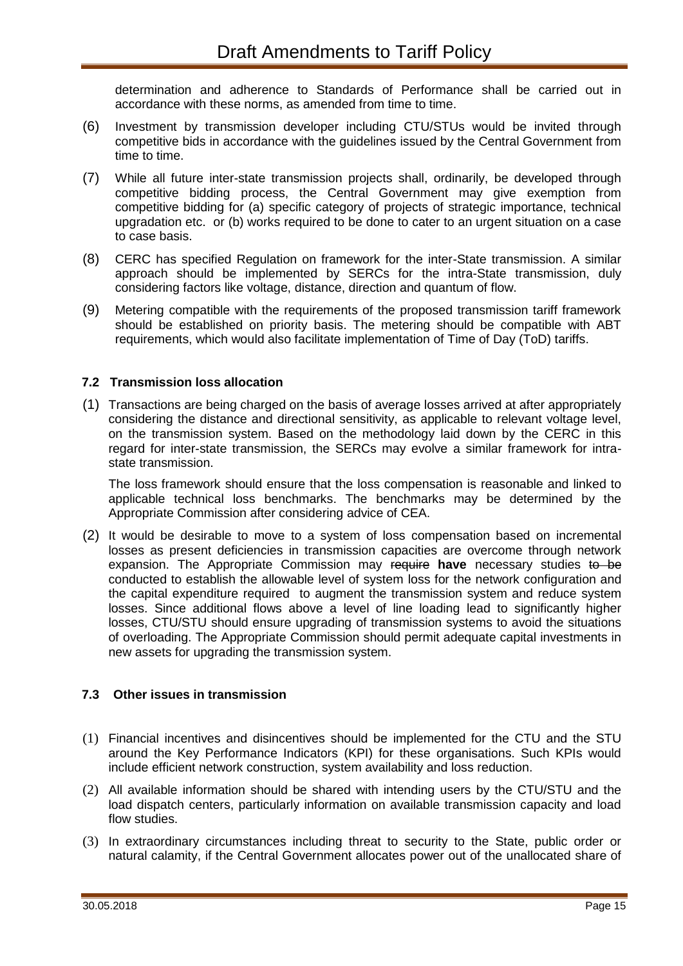determination and adherence to Standards of Performance shall be carried out in accordance with these norms, as amended from time to time.

- (6) Investment by transmission developer including CTU/STUs would be invited through competitive bids in accordance with the guidelines issued by the Central Government from time to time.
- (7) While all future inter-state transmission projects shall, ordinarily, be developed through competitive bidding process, the Central Government may give exemption from competitive bidding for (a) specific category of projects of strategic importance, technical upgradation etc. or (b) works required to be done to cater to an urgent situation on a case to case basis.
- (8) CERC has specified Regulation on framework for the inter-State transmission. A similar approach should be implemented by SERCs for the intra-State transmission, duly considering factors like voltage, distance, direction and quantum of flow.
- (9) Metering compatible with the requirements of the proposed transmission tariff framework should be established on priority basis. The metering should be compatible with ABT requirements, which would also facilitate implementation of Time of Day (ToD) tariffs.

### **7.2 Transmission loss allocation**

(1) Transactions are being charged on the basis of average losses arrived at after appropriately considering the distance and directional sensitivity, as applicable to relevant voltage level, on the transmission system. Based on the methodology laid down by the CERC in this regard for inter-state transmission, the SERCs may evolve a similar framework for intrastate transmission.

The loss framework should ensure that the loss compensation is reasonable and linked to applicable technical loss benchmarks. The benchmarks may be determined by the Appropriate Commission after considering advice of CEA.

(2) It would be desirable to move to a system of loss compensation based on incremental losses as present deficiencies in transmission capacities are overcome through network expansion. The Appropriate Commission may require **have** necessary studies to be conducted to establish the allowable level of system loss for the network configuration and the capital expenditure required to augment the transmission system and reduce system losses. Since additional flows above a level of line loading lead to significantly higher losses, CTU/STU should ensure upgrading of transmission systems to avoid the situations of overloading. The Appropriate Commission should permit adequate capital investments in new assets for upgrading the transmission system.

#### **7.3 Other issues in transmission**

- (1) Financial incentives and disincentives should be implemented for the CTU and the STU around the Key Performance Indicators (KPI) for these organisations. Such KPIs would include efficient network construction, system availability and loss reduction.
- (2) All available information should be shared with intending users by the CTU/STU and the load dispatch centers, particularly information on available transmission capacity and load flow studies.
- (3) In extraordinary circumstances including threat to security to the State, public order or natural calamity, if the Central Government allocates power out of the unallocated share of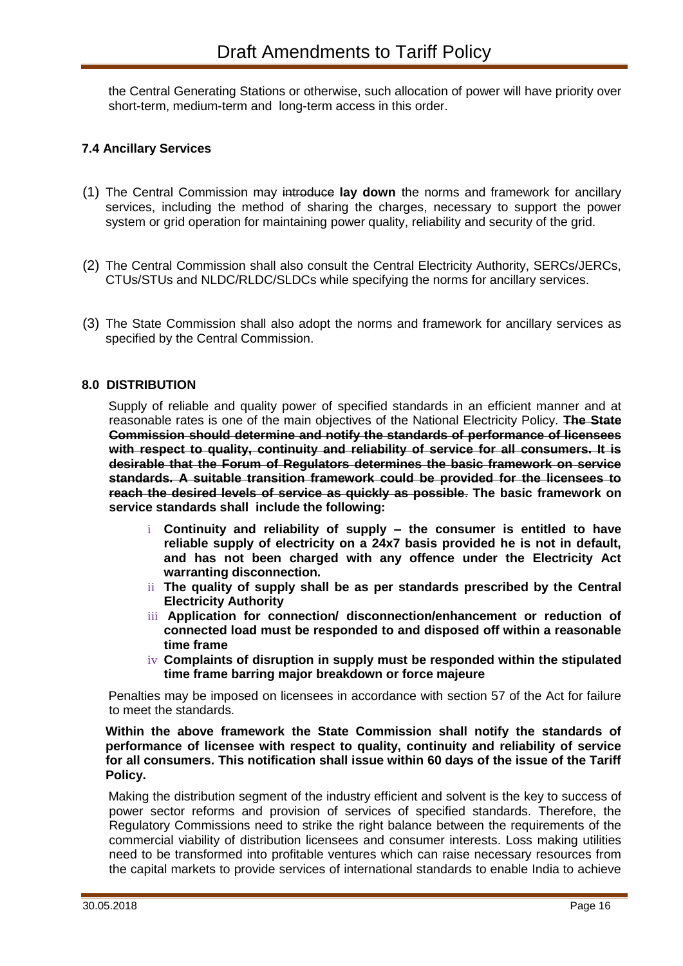the Central Generating Stations or otherwise, such allocation of power will have priority over short-term, medium-term and long-term access in this order.

### **7.4 Ancillary Services**

- (1) The Central Commission may introduce **lay down** the norms and framework for ancillary services, including the method of sharing the charges, necessary to support the power system or grid operation for maintaining power quality, reliability and security of the grid.
- (2) The Central Commission shall also consult the Central Electricity Authority, SERCs/JERCs, CTUs/STUs and NLDC/RLDC/SLDCs while specifying the norms for ancillary services.
- (3) The State Commission shall also adopt the norms and framework for ancillary services as specified by the Central Commission.

### **8.0 DISTRIBUTION**

Supply of reliable and quality power of specified standards in an efficient manner and at reasonable rates is one of the main objectives of the National Electricity Policy. **The State Commission should determine and notify the standards of performance of licensees with respect to quality, continuity and reliability of service for all consumers. It is desirable that the Forum of Regulators determines the basic framework on service standards. A suitable transition framework could be provided for the licensees to reach the desired levels of service as quickly as possible**. **The basic framework on service standards shall include the following:**

- i **Continuity and reliability of supply – the consumer is entitled to have reliable supply of electricity on a 24x7 basis provided he is not in default, and has not been charged with any offence under the Electricity Act warranting disconnection.**
- ii **The quality of supply shall be as per standards prescribed by the Central Electricity Authority**
- iii **Application for connection/ disconnection/enhancement or reduction of connected load must be responded to and disposed off within a reasonable time frame**
- iv **Complaints of disruption in supply must be responded within the stipulated time frame barring major breakdown or force majeure**

Penalties may be imposed on licensees in accordance with section 57 of the Act for failure to meet the standards.

**Within the above framework the State Commission shall notify the standards of performance of licensee with respect to quality, continuity and reliability of service for all consumers. This notification shall issue within 60 days of the issue of the Tariff Policy.**

Making the distribution segment of the industry efficient and solvent is the key to success of power sector reforms and provision of services of specified standards. Therefore, the Regulatory Commissions need to strike the right balance between the requirements of the commercial viability of distribution licensees and consumer interests. Loss making utilities need to be transformed into profitable ventures which can raise necessary resources from the capital markets to provide services of international standards to enable India to achieve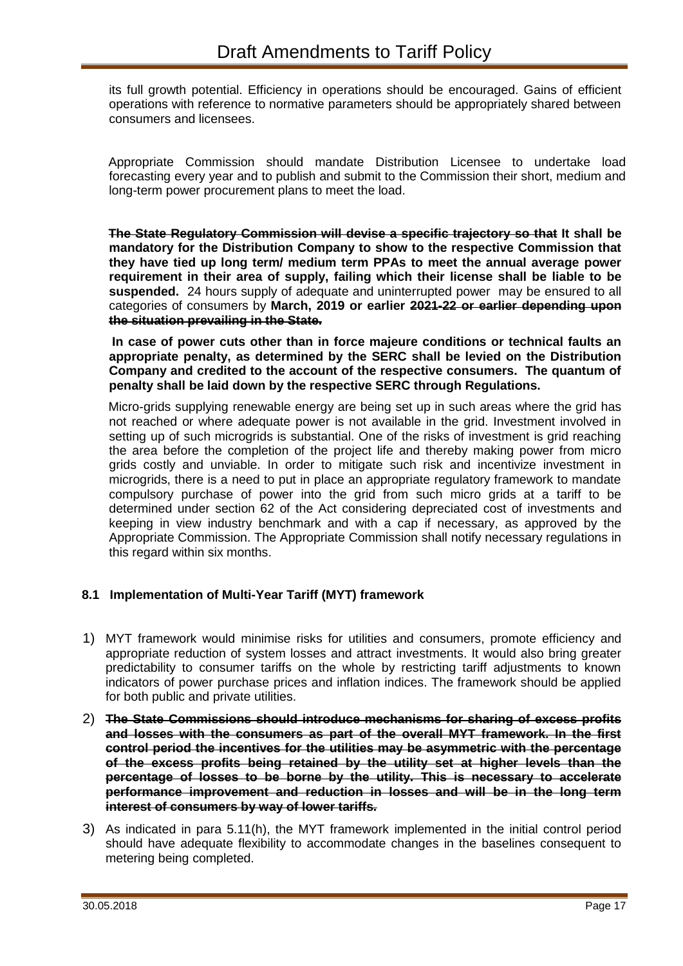its full growth potential. Efficiency in operations should be encouraged. Gains of efficient operations with reference to normative parameters should be appropriately shared between consumers and licensees.

Appropriate Commission should mandate Distribution Licensee to undertake load forecasting every year and to publish and submit to the Commission their short, medium and long-term power procurement plans to meet the load.

**The State Regulatory Commission will devise a specific trajectory so that It shall be mandatory for the Distribution Company to show to the respective Commission that they have tied up long term/ medium term PPAs to meet the annual average power requirement in their area of supply, failing which their license shall be liable to be suspended.** 24 hours supply of adequate and uninterrupted power may be ensured to all categories of consumers by **March, 2019 or earlier 2021-22 or earlier depending upon the situation prevailing in the State.**

**In case of power cuts other than in force majeure conditions or technical faults an appropriate penalty, as determined by the SERC shall be levied on the Distribution Company and credited to the account of the respective consumers. The quantum of penalty shall be laid down by the respective SERC through Regulations.**

Micro-grids supplying renewable energy are being set up in such areas where the grid has not reached or where adequate power is not available in the grid. Investment involved in setting up of such microgrids is substantial. One of the risks of investment is grid reaching the area before the completion of the project life and thereby making power from micro grids costly and unviable. In order to mitigate such risk and incentivize investment in microgrids, there is a need to put in place an appropriate regulatory framework to mandate compulsory purchase of power into the grid from such micro grids at a tariff to be determined under section 62 of the Act considering depreciated cost of investments and keeping in view industry benchmark and with a cap if necessary, as approved by the Appropriate Commission. The Appropriate Commission shall notify necessary regulations in this regard within six months.

### **8.1 Implementation of Multi-Year Tariff (MYT) framework**

- 1) MYT framework would minimise risks for utilities and consumers, promote efficiency and appropriate reduction of system losses and attract investments. It would also bring greater predictability to consumer tariffs on the whole by restricting tariff adjustments to known indicators of power purchase prices and inflation indices. The framework should be applied for both public and private utilities.
- 2) **The State Commissions should introduce mechanisms for sharing of excess profits and losses with the consumers as part of the overall MYT framework. In the first control period the incentives for the utilities may be asymmetric with the percentage of the excess profits being retained by the utility set at higher levels than the percentage of losses to be borne by the utility. This is necessary to accelerate performance improvement and reduction in losses and will be in the long term interest of consumers by way of lower tariffs.**
- 3) As indicated in para 5.11(h), the MYT framework implemented in the initial control period should have adequate flexibility to accommodate changes in the baselines consequent to metering being completed.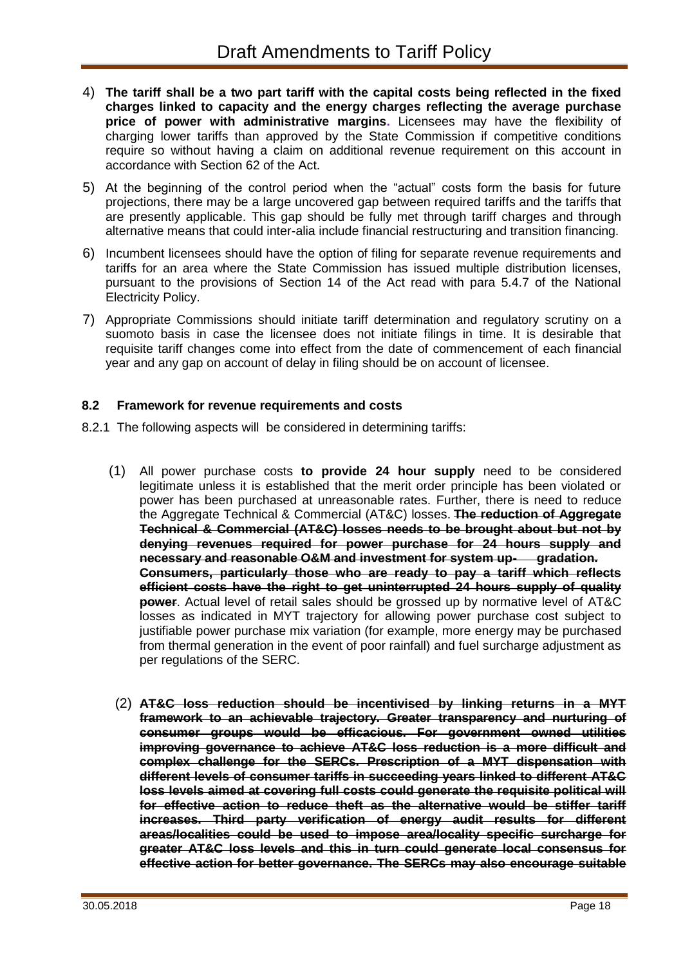- 4) **The tariff shall be a two part tariff with the capital costs being reflected in the fixed charges linked to capacity and the energy charges reflecting the average purchase price of power with administrative margins.** Licensees may have the flexibility of charging lower tariffs than approved by the State Commission if competitive conditions require so without having a claim on additional revenue requirement on this account in accordance with Section 62 of the Act.
- 5) At the beginning of the control period when the "actual" costs form the basis for future projections, there may be a large uncovered gap between required tariffs and the tariffs that are presently applicable. This gap should be fully met through tariff charges and through alternative means that could inter-alia include financial restructuring and transition financing.
- 6) Incumbent licensees should have the option of filing for separate revenue requirements and tariffs for an area where the State Commission has issued multiple distribution licenses, pursuant to the provisions of Section 14 of the Act read with para 5.4.7 of the National Electricity Policy.
- 7) Appropriate Commissions should initiate tariff determination and regulatory scrutiny on a suomoto basis in case the licensee does not initiate filings in time. It is desirable that requisite tariff changes come into effect from the date of commencement of each financial year and any gap on account of delay in filing should be on account of licensee.

### **8.2 Framework for revenue requirements and costs**

- 8.2.1 The following aspects will be considered in determining tariffs:
	- (1) All power purchase costs **to provide 24 hour supply** need to be considered legitimate unless it is established that the merit order principle has been violated or power has been purchased at unreasonable rates. Further, there is need to reduce the Aggregate Technical & Commercial (AT&C) losses. **The reduction of Aggregate Technical & Commercial (AT&C) losses needs to be brought about but not by denying revenues required for power purchase for 24 hours supply and necessary and reasonable O&M and investment for system up- gradation. Consumers, particularly those who are ready to pay a tariff which reflects efficient costs have the right to get uninterrupted 24 hours supply of quality power**. Actual level of retail sales should be grossed up by normative level of AT&C losses as indicated in MYT trajectory for allowing power purchase cost subject to justifiable power purchase mix variation (for example, more energy may be purchased from thermal generation in the event of poor rainfall) and fuel surcharge adjustment as per regulations of the SERC.
	- (2) **AT&C loss reduction should be incentivised by linking returns in a MYT framework to an achievable trajectory. Greater transparency and nurturing of consumer groups would be efficacious. For government owned utilities improving governance to achieve AT&C loss reduction is a more difficult and complex challenge for the SERCs. Prescription of a MYT dispensation with different levels of consumer tariffs in succeeding years linked to different AT&C loss levels aimed at covering full costs could generate the requisite political will for effective action to reduce theft as the alternative would be stiffer tariff increases. Third party verification of energy audit results for different areas/localities could be used to impose area/locality specific surcharge for greater AT&C loss levels and this in turn could generate local consensus for effective action for better governance. The SERCs may also encourage suitable**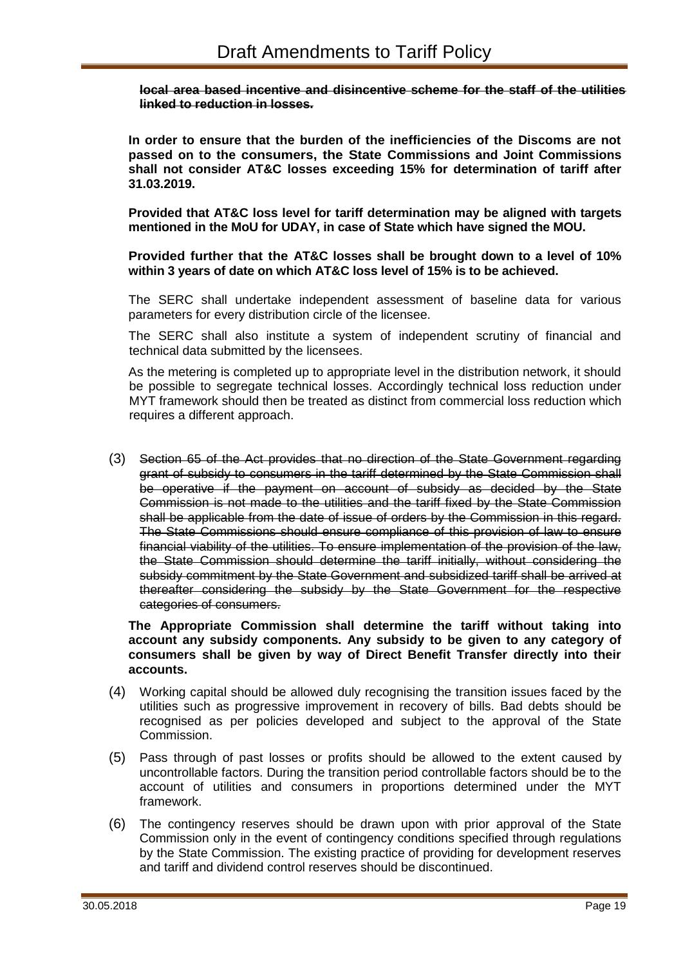#### **local area based incentive and disincentive scheme for the staff of the utilities linked to reduction in losses.**

**In order to ensure that the burden of the inefficiencies of the Discoms are not passed on to the consumers, the State Commissions and Joint Commissions shall not consider AT&C losses exceeding 15% for determination of tariff after 31.03.2019.** 

**Provided that AT&C loss level for tariff determination may be aligned with targets mentioned in the MoU for UDAY, in case of State which have signed the MOU.** 

**Provided further that the AT&C losses shall be brought down to a level of 10% within 3 years of date on which AT&C loss level of 15% is to be achieved.** 

The SERC shall undertake independent assessment of baseline data for various parameters for every distribution circle of the licensee.

The SERC shall also institute a system of independent scrutiny of financial and technical data submitted by the licensees.

As the metering is completed up to appropriate level in the distribution network, it should be possible to segregate technical losses. Accordingly technical loss reduction under MYT framework should then be treated as distinct from commercial loss reduction which requires a different approach.

(3) Section 65 of the Act provides that no direction of the State Government regarding grant of subsidy to consumers in the tariff determined by the State Commission shall be operative if the payment on account of subsidy as decided by the State Commission is not made to the utilities and the tariff fixed by the State Commission shall be applicable from the date of issue of orders by the Commission in this regard. The State Commissions should ensure compliance of this provision of law to ensure financial viability of the utilities. To ensure implementation of the provision of the law, the State Commission should determine the tariff initially, without considering the subsidy commitment by the State Government and subsidized tariff shall be arrived at thereafter considering the subsidy by the State Government for the respective categories of consumers.

**The Appropriate Commission shall determine the tariff without taking into account any subsidy components. Any subsidy to be given to any category of consumers shall be given by way of Direct Benefit Transfer directly into their accounts.**

- (4) Working capital should be allowed duly recognising the transition issues faced by the utilities such as progressive improvement in recovery of bills. Bad debts should be recognised as per policies developed and subject to the approval of the State Commission.
- (5) Pass through of past losses or profits should be allowed to the extent caused by uncontrollable factors. During the transition period controllable factors should be to the account of utilities and consumers in proportions determined under the MYT framework.
- (6) The contingency reserves should be drawn upon with prior approval of the State Commission only in the event of contingency conditions specified through regulations by the State Commission. The existing practice of providing for development reserves and tariff and dividend control reserves should be discontinued.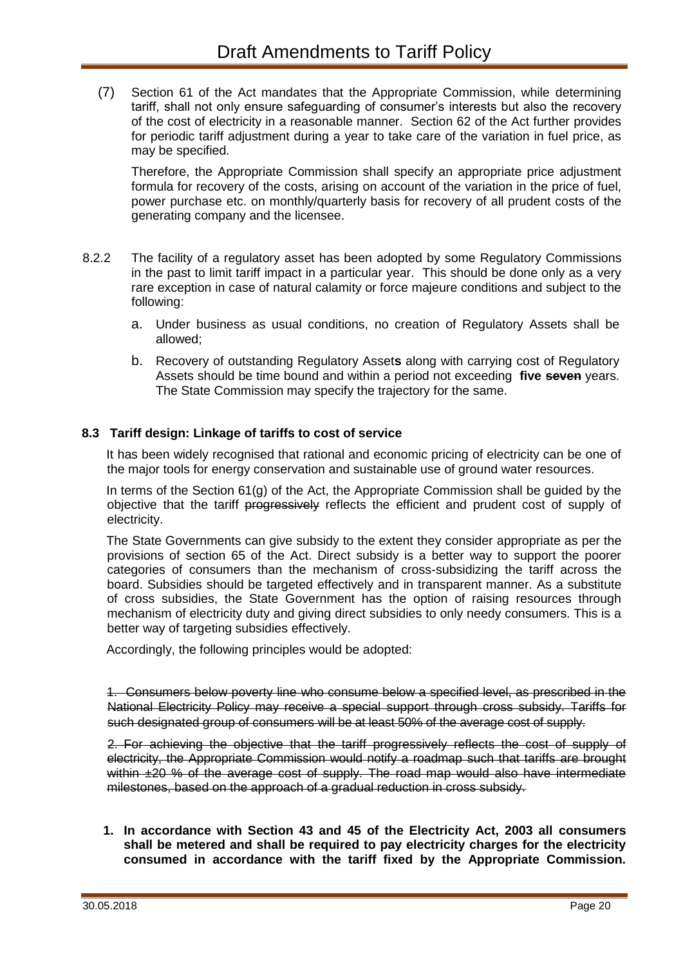(7) Section 61 of the Act mandates that the Appropriate Commission, while determining tariff, shall not only ensure safeguarding of consumer's interests but also the recovery of the cost of electricity in a reasonable manner. Section 62 of the Act further provides for periodic tariff adjustment during a year to take care of the variation in fuel price, as may be specified.

Therefore, the Appropriate Commission shall specify an appropriate price adjustment formula for recovery of the costs, arising on account of the variation in the price of fuel, power purchase etc. on monthly/quarterly basis for recovery of all prudent costs of the generating company and the licensee.

- 8.2.2 The facility of a regulatory asset has been adopted by some Regulatory Commissions in the past to limit tariff impact in a particular year. This should be done only as a very rare exception in case of natural calamity or force majeure conditions and subject to the following:
	- a. Under business as usual conditions, no creation of Regulatory Assets shall be allowed;
	- b. Recovery of outstanding Regulatory Asset**s** along with carrying cost of Regulatory Assets should be time bound and within a period not exceeding **five seven** years. The State Commission may specify the trajectory for the same.

### **8.3 Tariff design: Linkage of tariffs to cost of service**

It has been widely recognised that rational and economic pricing of electricity can be one of the major tools for energy conservation and sustainable use of ground water resources.

In terms of the Section 61(g) of the Act, the Appropriate Commission shall be guided by the objective that the tariff progressively reflects the efficient and prudent cost of supply of electricity.

The State Governments can give subsidy to the extent they consider appropriate as per the provisions of section 65 of the Act. Direct subsidy is a better way to support the poorer categories of consumers than the mechanism of cross-subsidizing the tariff across the board. Subsidies should be targeted effectively and in transparent manner. As a substitute of cross subsidies, the State Government has the option of raising resources through mechanism of electricity duty and giving direct subsidies to only needy consumers. This is a better way of targeting subsidies effectively.

Accordingly, the following principles would be adopted:

1. Consumers below poverty line who consume below a specified level, as prescribed in the National Electricity Policy may receive a special support through cross subsidy. Tariffs for such designated group of consumers will be at least 50% of the average cost of supply.

2. For achieving the objective that the tariff progressively reflects the cost of supply of electricity, the Appropriate Commission would notify a roadmap such that tariffs are brought within  $\pm 20$  % of the average cost of supply. The road map would also have intermediate milestones, based on the approach of a gradual reduction in cross subsidy.

**1. In accordance with Section 43 and 45 of the Electricity Act, 2003 all consumers shall be metered and shall be required to pay electricity charges for the electricity consumed in accordance with the tariff fixed by the Appropriate Commission.**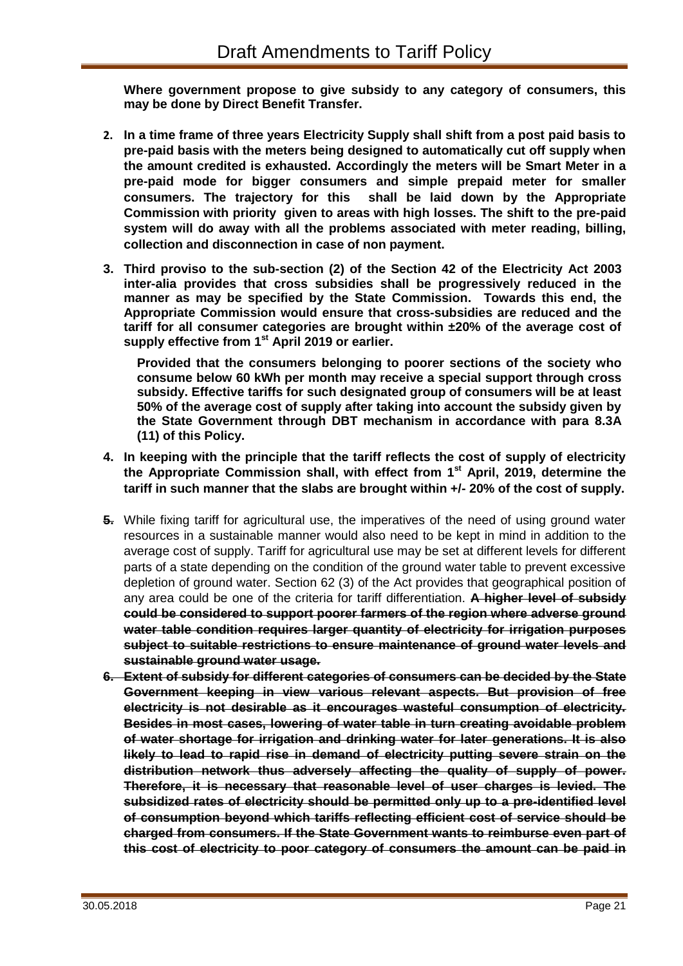**Where government propose to give subsidy to any category of consumers, this may be done by Direct Benefit Transfer.**

- **2. In a time frame of three years Electricity Supply shall shift from a post paid basis to pre-paid basis with the meters being designed to automatically cut off supply when the amount credited is exhausted. Accordingly the meters will be Smart Meter in a pre-paid mode for bigger consumers and simple prepaid meter for smaller consumers. The trajectory for this shall be laid down by the Appropriate Commission with priority given to areas with high losses. The shift to the pre-paid system will do away with all the problems associated with meter reading, billing, collection and disconnection in case of non payment.**
- **3. Third proviso to the sub-section (2) of the Section 42 of the Electricity Act 2003 inter-alia provides that cross subsidies shall be progressively reduced in the manner as may be specified by the State Commission. Towards this end, the Appropriate Commission would ensure that cross-subsidies are reduced and the tariff for all consumer categories are brought within ±20% of the average cost of supply effective from 1st April 2019 or earlier.**

**Provided that the consumers belonging to poorer sections of the society who consume below 60 kWh per month may receive a special support through cross subsidy. Effective tariffs for such designated group of consumers will be at least 50% of the average cost of supply after taking into account the subsidy given by the State Government through DBT mechanism in accordance with para 8.3A (11) of this Policy.** 

- **4. In keeping with the principle that the tariff reflects the cost of supply of electricity the Appropriate Commission shall, with effect from 1st April, 2019, determine the tariff in such manner that the slabs are brought within +/- 20% of the cost of supply.**
- **5.** While fixing tariff for agricultural use, the imperatives of the need of using ground water resources in a sustainable manner would also need to be kept in mind in addition to the average cost of supply. Tariff for agricultural use may be set at different levels for different parts of a state depending on the condition of the ground water table to prevent excessive depletion of ground water. Section 62 (3) of the Act provides that geographical position of any area could be one of the criteria for tariff differentiation. **A higher level of subsidy could be considered to support poorer farmers of the region where adverse ground water table condition requires larger quantity of electricity for irrigation purposes subject to suitable restrictions to ensure maintenance of ground water levels and sustainable ground water usage.**
- **6. Extent of subsidy for different categories of consumers can be decided by the State Government keeping in view various relevant aspects. But provision of free electricity is not desirable as it encourages wasteful consumption of electricity. Besides in most cases, lowering of water table in turn creating avoidable problem of water shortage for irrigation and drinking water for later generations. It is also likely to lead to rapid rise in demand of electricity putting severe strain on the distribution network thus adversely affecting the quality of supply of power. Therefore, it is necessary that reasonable level of user charges is levied. The subsidized rates of electricity should be permitted only up to a pre-identified level of consumption beyond which tariffs reflecting efficient cost of service should be charged from consumers. If the State Government wants to reimburse even part of this cost of electricity to poor category of consumers the amount can be paid in**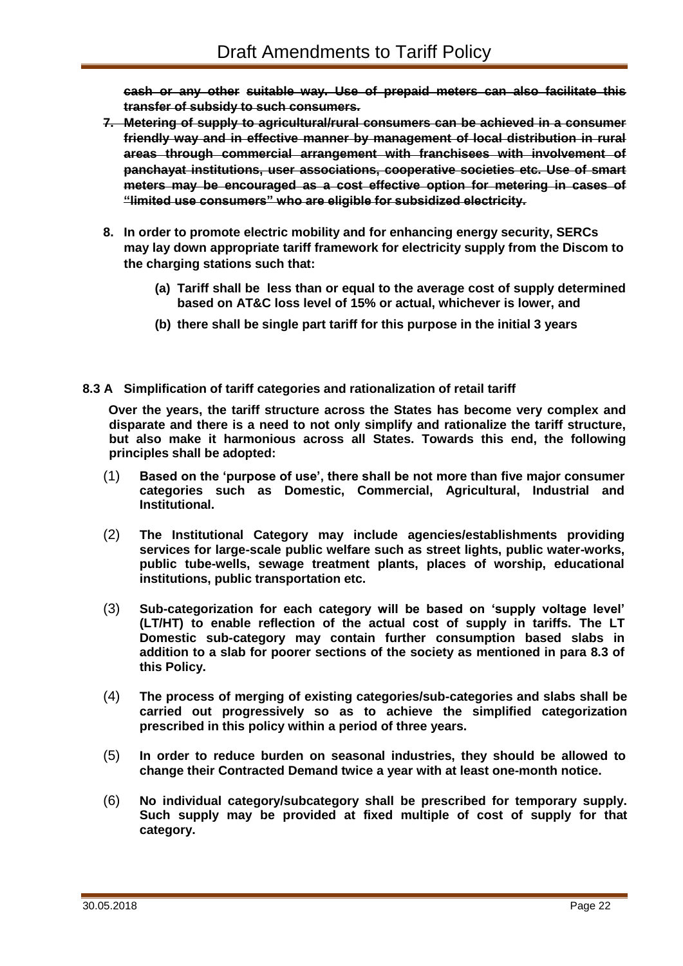**cash or any other suitable way. Use of prepaid meters can also facilitate this transfer of subsidy to such consumers.**

- **7. Metering of supply to agricultural/rural consumers can be achieved in a consumer friendly way and in effective manner by management of local distribution in rural areas through commercial arrangement with franchisees with involvement of panchayat institutions, user associations, cooperative societies etc. Use of smart meters may be encouraged as a cost effective option for metering in cases of "limited use consumers" who are eligible for subsidized electricity.**
- **8. In order to promote electric mobility and for enhancing energy security, SERCs may lay down appropriate tariff framework for electricity supply from the Discom to the charging stations such that:**
	- **(a) Tariff shall be less than or equal to the average cost of supply determined based on AT&C loss level of 15% or actual, whichever is lower, and**
	- **(b) there shall be single part tariff for this purpose in the initial 3 years**
- **8.3 A Simplification of tariff categories and rationalization of retail tariff**

**Over the years, the tariff structure across the States has become very complex and disparate and there is a need to not only simplify and rationalize the tariff structure, but also make it harmonious across all States. Towards this end, the following principles shall be adopted:**

- (1) **Based on the 'purpose of use', there shall be not more than five major consumer categories such as Domestic, Commercial, Agricultural, Industrial and Institutional.**
- (2) **The Institutional Category may include agencies/establishments providing services for large-scale public welfare such as street lights, public water-works, public tube-wells, sewage treatment plants, places of worship, educational institutions, public transportation etc.**
- (3) **Sub-categorization for each category will be based on 'supply voltage level' (LT/HT) to enable reflection of the actual cost of supply in tariffs. The LT Domestic sub-category may contain further consumption based slabs in addition to a slab for poorer sections of the society as mentioned in para 8.3 of this Policy.**
- (4) **The process of merging of existing categories/sub-categories and slabs shall be carried out progressively so as to achieve the simplified categorization prescribed in this policy within a period of three years.**
- (5) **In order to reduce burden on seasonal industries, they should be allowed to change their Contracted Demand twice a year with at least one-month notice.**
- (6) **No individual category/subcategory shall be prescribed for temporary supply. Such supply may be provided at fixed multiple of cost of supply for that category.**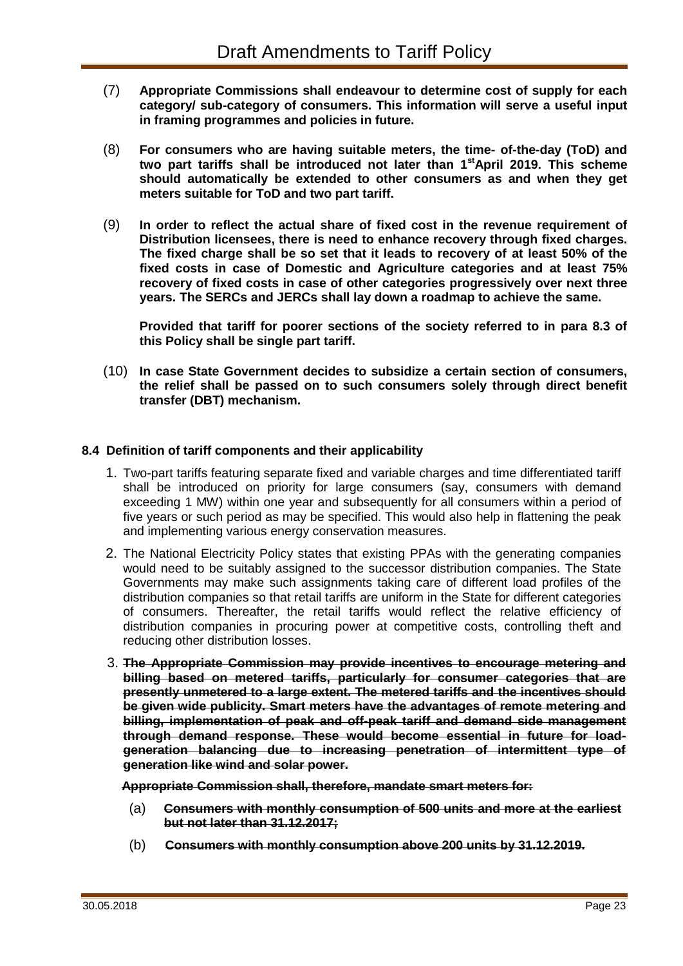- (7) **Appropriate Commissions shall endeavour to determine cost of supply for each category/ sub-category of consumers. This information will serve a useful input in framing programmes and policies in future.**
- (8) **For consumers who are having suitable meters, the time- of-the-day (ToD) and two part tariffs shall be introduced not later than 1stApril 2019. This scheme should automatically be extended to other consumers as and when they get meters suitable for ToD and two part tariff.**
- (9) **In order to reflect the actual share of fixed cost in the revenue requirement of Distribution licensees, there is need to enhance recovery through fixed charges. The fixed charge shall be so set that it leads to recovery of at least 50% of the fixed costs in case of Domestic and Agriculture categories and at least 75% recovery of fixed costs in case of other categories progressively over next three years. The SERCs and JERCs shall lay down a roadmap to achieve the same.**

**Provided that tariff for poorer sections of the society referred to in para 8.3 of this Policy shall be single part tariff.** 

(10) **In case State Government decides to subsidize a certain section of consumers, the relief shall be passed on to such consumers solely through direct benefit transfer (DBT) mechanism.**

### **8.4 Definition of tariff components and their applicability**

- 1. Two-part tariffs featuring separate fixed and variable charges and time differentiated tariff shall be introduced on priority for large consumers (say, consumers with demand exceeding 1 MW) within one year and subsequently for all consumers within a period of five years or such period as may be specified. This would also help in flattening the peak and implementing various energy conservation measures.
- 2. The National Electricity Policy states that existing PPAs with the generating companies would need to be suitably assigned to the successor distribution companies. The State Governments may make such assignments taking care of different load profiles of the distribution companies so that retail tariffs are uniform in the State for different categories of consumers. Thereafter, the retail tariffs would reflect the relative efficiency of distribution companies in procuring power at competitive costs, controlling theft and reducing other distribution losses.
- 3. **The Appropriate Commission may provide incentives to encourage metering and billing based on metered tariffs, particularly for consumer categories that are presently unmetered to a large extent. The metered tariffs and the incentives should be given wide publicity. Smart meters have the advantages of remote metering and billing, implementation of peak and off-peak tariff and demand side management through demand response. These would become essential in future for loadgeneration balancing due to increasing penetration of intermittent type of generation like wind and solar power.**

**Appropriate Commission shall, therefore, mandate smart meters for:**

- (a) **Consumers with monthly consumption of 500 units and more at the earliest but not later than 31.12.2017;**
- (b) **Consumers with monthly consumption above 200 units by 31.12.2019.**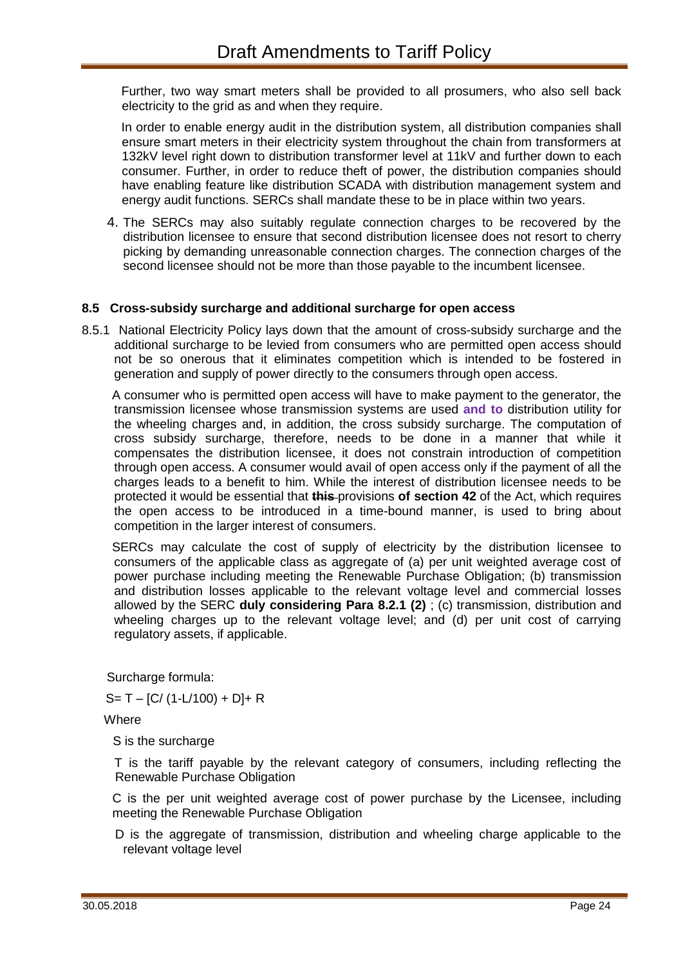Further, two way smart meters shall be provided to all prosumers, who also sell back electricity to the grid as and when they require.

In order to enable energy audit in the distribution system, all distribution companies shall ensure smart meters in their electricity system throughout the chain from transformers at 132kV level right down to distribution transformer level at 11kV and further down to each consumer. Further, in order to reduce theft of power, the distribution companies should have enabling feature like distribution SCADA with distribution management system and energy audit functions. SERCs shall mandate these to be in place within two years.

4. The SERCs may also suitably regulate connection charges to be recovered by the distribution licensee to ensure that second distribution licensee does not resort to cherry picking by demanding unreasonable connection charges. The connection charges of the second licensee should not be more than those payable to the incumbent licensee.

### **8.5 Cross-subsidy surcharge and additional surcharge for open access**

8.5.1 National Electricity Policy lays down that the amount of cross-subsidy surcharge and the additional surcharge to be levied from consumers who are permitted open access should not be so onerous that it eliminates competition which is intended to be fostered in generation and supply of power directly to the consumers through open access.

A consumer who is permitted open access will have to make payment to the generator, the transmission licensee whose transmission systems are used **and to** distribution utility for the wheeling charges and, in addition, the cross subsidy surcharge. The computation of cross subsidy surcharge, therefore, needs to be done in a manner that while it compensates the distribution licensee, it does not constrain introduction of competition through open access. A consumer would avail of open access only if the payment of all the charges leads to a benefit to him. While the interest of distribution licensee needs to be protected it would be essential that **this** provisions **of section 42** of the Act, which requires the open access to be introduced in a time-bound manner, is used to bring about competition in the larger interest of consumers.

SERCs may calculate the cost of supply of electricity by the distribution licensee to consumers of the applicable class as aggregate of (a) per unit weighted average cost of power purchase including meeting the Renewable Purchase Obligation; (b) transmission and distribution losses applicable to the relevant voltage level and commercial losses allowed by the SERC **duly considering Para 8.2.1 (2)** ; (c) transmission, distribution and wheeling charges up to the relevant voltage level; and (d) per unit cost of carrying regulatory assets, if applicable.

Surcharge formula:

 $S = T - [C / (1 - L/100) + D] + R$ 

Where

S is the surcharge

T is the tariff payable by the relevant category of consumers, including reflecting the Renewable Purchase Obligation

C is the per unit weighted average cost of power purchase by the Licensee, including meeting the Renewable Purchase Obligation

D is the aggregate of transmission, distribution and wheeling charge applicable to the relevant voltage level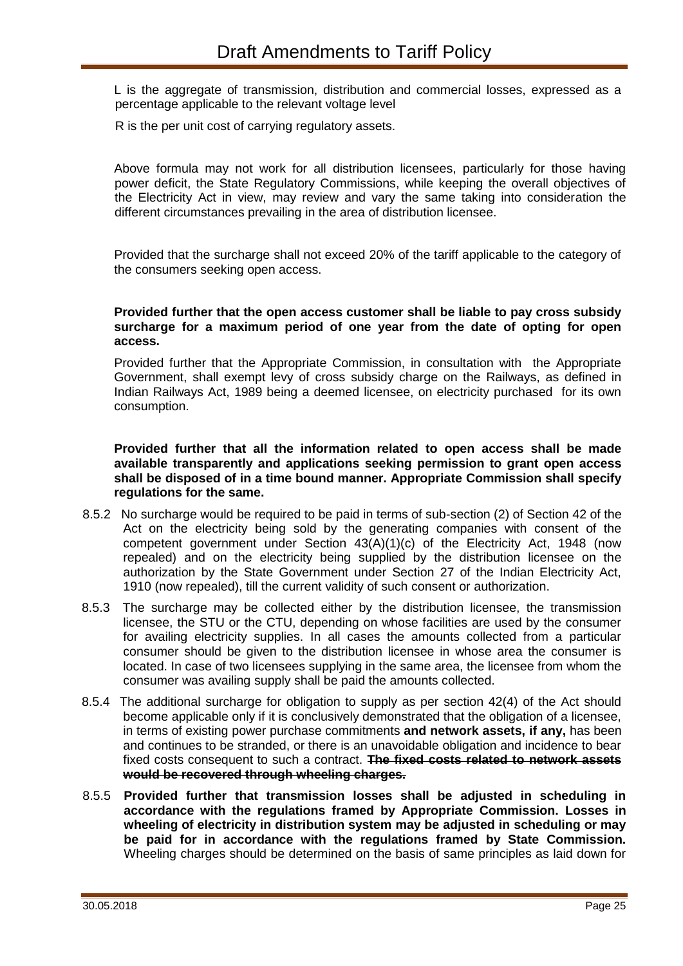L is the aggregate of transmission, distribution and commercial losses, expressed as a percentage applicable to the relevant voltage level

R is the per unit cost of carrying regulatory assets.

Above formula may not work for all distribution licensees, particularly for those having power deficit, the State Regulatory Commissions, while keeping the overall objectives of the Electricity Act in view, may review and vary the same taking into consideration the different circumstances prevailing in the area of distribution licensee.

Provided that the surcharge shall not exceed 20% of the tariff applicable to the category of the consumers seeking open access.

#### **Provided further that the open access customer shall be liable to pay cross subsidy surcharge for a maximum period of one year from the date of opting for open access.**

Provided further that the Appropriate Commission, in consultation with the Appropriate Government, shall exempt levy of cross subsidy charge on the Railways, as defined in Indian Railways Act, 1989 being a deemed licensee, on electricity purchased for its own consumption.

**Provided further that all the information related to open access shall be made available transparently and applications seeking permission to grant open access shall be disposed of in a time bound manner. Appropriate Commission shall specify regulations for the same..** 

- 8.5.2 No surcharge would be required to be paid in terms of sub-section (2) of Section 42 of the Act on the electricity being sold by the generating companies with consent of the competent government under Section 43(A)(1)(c) of the Electricity Act, 1948 (now repealed) and on the electricity being supplied by the distribution licensee on the authorization by the State Government under Section 27 of the Indian Electricity Act, 1910 (now repealed), till the current validity of such consent or authorization.
- 8.5.3 The surcharge may be collected either by the distribution licensee, the transmission licensee, the STU or the CTU, depending on whose facilities are used by the consumer for availing electricity supplies. In all cases the amounts collected from a particular consumer should be given to the distribution licensee in whose area the consumer is located. In case of two licensees supplying in the same area, the licensee from whom the consumer was availing supply shall be paid the amounts collected.
- 8.5.4 The additional surcharge for obligation to supply as per section 42(4) of the Act should become applicable only if it is conclusively demonstrated that the obligation of a licensee, in terms of existing power purchase commitments **and network assets, if any,** has been and continues to be stranded, or there is an unavoidable obligation and incidence to bear fixed costs consequent to such a contract. **The fixed costs related to network assets would be recovered through wheeling charges.**
- 8.5.5 **Provided further that transmission losses shall be adjusted in scheduling in accordance with the regulations framed by Appropriate Commission. Losses in wheeling of electricity in distribution system may be adjusted in scheduling or may be paid for in accordance with the regulations framed by State Commission.** Wheeling charges should be determined on the basis of same principles as laid down for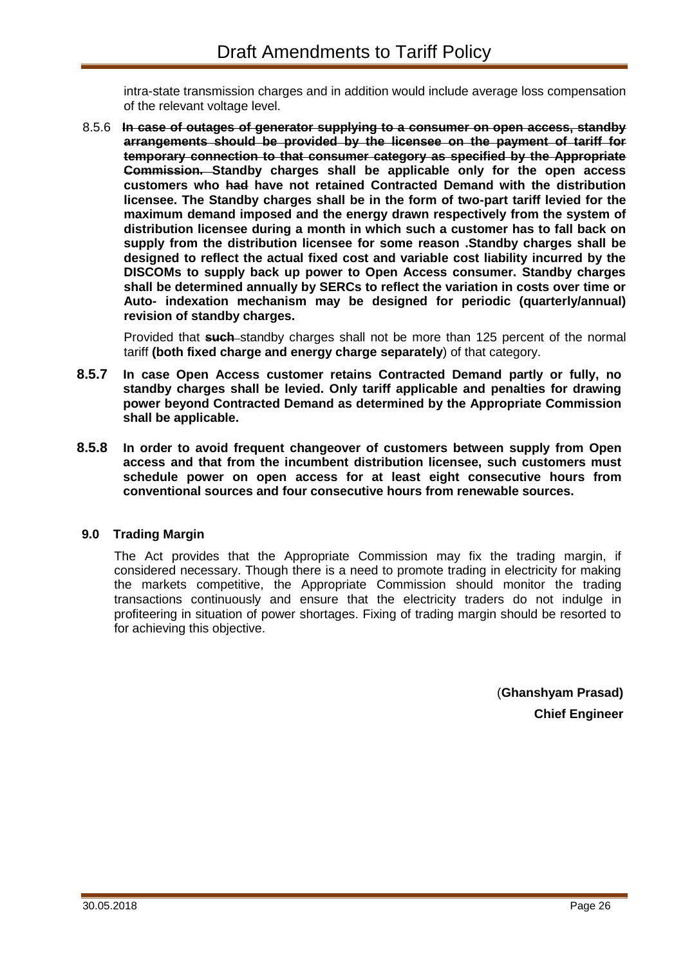intra-state transmission charges and in addition would include average loss compensation of the relevant voltage level.

8.5.6 **In case of outages of generator supplying to a consumer on open access, standby arrangements should be provided by the licensee on the payment of tariff for temporary connection to that consumer category as specified by the Appropriate Commission. Standby charges shall be applicable only for the open access customers who had have not retained Contracted Demand with the distribution licensee. The Standby charges shall be in the form of two-part tariff levied for the maximum demand imposed and the energy drawn respectively from the system of distribution licensee during a month in which such a customer has to fall back on supply from the distribution licensee for some reason .Standby charges shall be designed to reflect the actual fixed cost and variable cost liability incurred by the DISCOMs to supply back up power to Open Access consumer. Standby charges shall be determined annually by SERCs to reflect the variation in costs over time or Auto- indexation mechanism may be designed for periodic (quarterly/annual) revision of standby charges.**

Provided that **such** standby charges shall not be more than 125 percent of the normal tariff **(both fixed charge and energy charge separately**) of that category.

- **8.5.7 In case Open Access customer retains Contracted Demand partly or fully, no standby charges shall be levied. Only tariff applicable and penalties for drawing power beyond Contracted Demand as determined by the Appropriate Commission shall be applicable.**
- **8.5.8 In order to avoid frequent changeover of customers between supply from Open access and that from the incumbent distribution licensee, such customers must schedule power on open access for at least eight consecutive hours from conventional sources and four consecutive hours from renewable sources.**

### **9.0 Trading Margin**

The Act provides that the Appropriate Commission may fix the trading margin, if considered necessary. Though there is a need to promote trading in electricity for making the markets competitive, the Appropriate Commission should monitor the trading transactions continuously and ensure that the electricity traders do not indulge in profiteering in situation of power shortages. Fixing of trading margin should be resorted to for achieving this objective.

> (**Ghanshyam Prasad) Chief Engineer**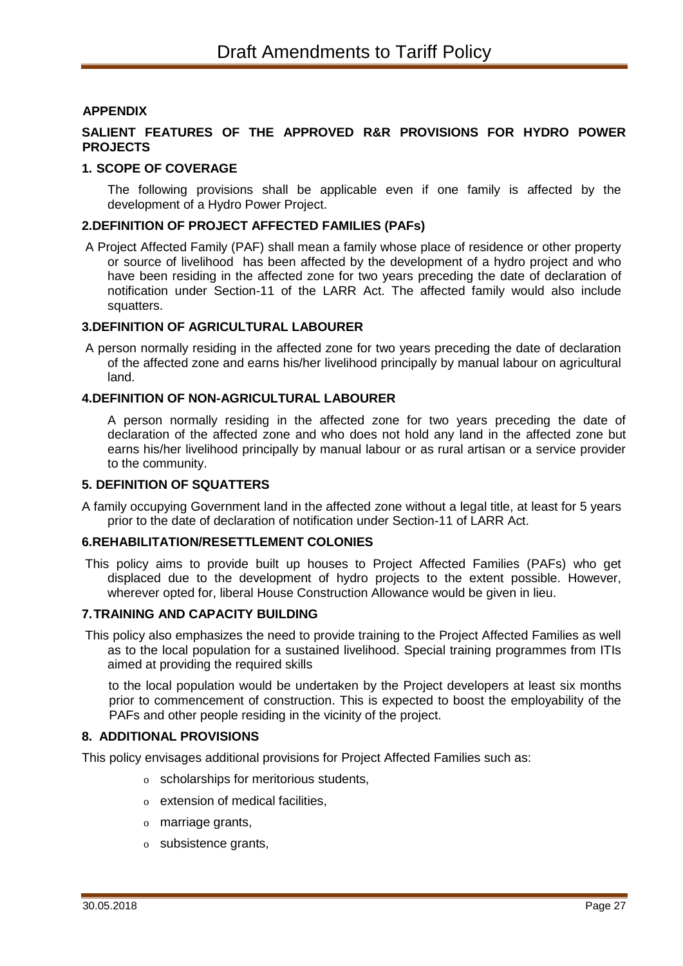#### **APPENDIX**

### **SALIENT FEATURES OF THE APPROVED R&R PROVISIONS FOR HYDRO POWER PROJECTS**

#### **1. SCOPE OF COVERAGE**

The following provisions shall be applicable even if one family is affected by the development of a Hydro Power Project.

#### **2.DEFINITION OF PROJECT AFFECTED FAMILIES (PAFs)**

A Project Affected Family (PAF) shall mean a family whose place of residence or other property or source of livelihood has been affected by the development of a hydro project and who have been residing in the affected zone for two years preceding the date of declaration of notification under Section-11 of the LARR Act. The affected family would also include squatters.

#### **3.DEFINITION OF AGRICULTURAL LABOURER**

A person normally residing in the affected zone for two years preceding the date of declaration of the affected zone and earns his/her livelihood principally by manual labour on agricultural land.

#### **4. DEFINITION OF NON-AGRICULTURAL LABOURER**

A person normally residing in the affected zone for two years preceding the date of declaration of the affected zone and who does not hold any land in the affected zone but earns his/her livelihood principally by manual labour or as rural artisan or a service provider to the community.

#### **5. DEFINITION OF SQUATTERS**

A family occupying Government land in the affected zone without a legal title, at least for 5 years prior to the date of declaration of notification under Section-11 of LARR Act.

#### **6.REHABILITATION/RESETTI EMENT COLONIES**

This policy aims to provide built up houses to Project Affected Families (PAFs) who get displaced due to the development of hydro projects to the extent possible. However, wherever opted for, liberal House Construction Allowance would be given in lieu.

#### **7.TRAINING AND CAPACITY BUILDING**

This policy also emphasizes the need to provide training to the Project Affected Families as well as to the local population for a sustained livelihood. Special training programmes from ITIs aimed at providing the required skills

to the local population would be undertaken by the Project developers at least six months prior to commencement of construction. This is expected to boost the employability of the PAFs and other people residing in the vicinity of the project.

#### **8. ADDITIONAL PROVISIONS**

This policy envisages additional provisions for Project Affected Families such as:

- o scholarships for meritorious students,
- o extension of medical facilities,
- o marriage grants,
- o subsistence grants,